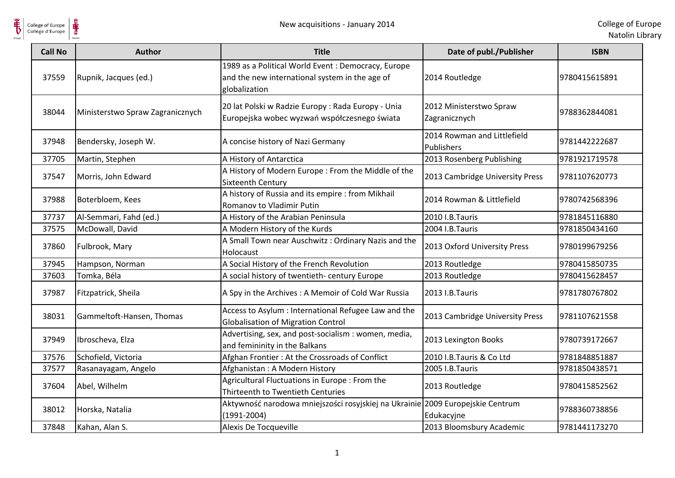

| <b>Call No</b> | <b>Author</b>                    | <b>Title</b>                                                                                                           | Date of publ./Publisher                   | <b>ISBN</b>   |
|----------------|----------------------------------|------------------------------------------------------------------------------------------------------------------------|-------------------------------------------|---------------|
| 37559          | Rupnik, Jacques (ed.)            | 1989 as a Political World Event : Democracy, Europe<br>and the new international system in the age of<br>globalization | 2014 Routledge                            | 9780415615891 |
| 38044          | Ministerstwo Spraw Zagranicznych | 20 lat Polski w Radzie Europy: Rada Europy - Unia<br>Europejska wobec wyzwań współczesnego świata                      | 2012 Ministerstwo Spraw<br>Zagranicznych  | 9788362844081 |
| 37948          | Bendersky, Joseph W.             | A concise history of Nazi Germany                                                                                      | 2014 Rowman and Littlefield<br>Publishers | 9781442222687 |
| 37705          | Martin, Stephen                  | A History of Antarctica                                                                                                | 2013 Rosenberg Publishing                 | 9781921719578 |
| 37547          | Morris, John Edward              | A History of Modern Europe: From the Middle of the<br>Sixteenth Century                                                | 2013 Cambridge University Press           | 9781107620773 |
| 37988          | Boterbloem, Kees                 | A history of Russia and its empire : from Mikhail<br>Romanov to Vladimir Putin                                         | 2014 Rowman & Littlefield                 | 9780742568396 |
| 37737          | Al-Semmari, Fahd (ed.)           | A History of the Arabian Peninsula                                                                                     | 2010 I.B.Tauris                           | 9781845116880 |
| 37575          | McDowall, David                  | A Modern History of the Kurds                                                                                          | 2004 I.B.Tauris                           | 9781850434160 |
| 37860          | Fulbrook, Mary                   | A Small Town near Auschwitz: Ordinary Nazis and the<br>Holocaust                                                       | 2013 Oxford University Press              | 9780199679256 |
| 37945          | Hampson, Norman                  | A Social History of the French Revolution                                                                              | 2013 Routledge                            | 9780415850735 |
| 37603          | Tomka, Béla                      | A social history of twentieth- century Europe                                                                          | 2013 Routledge                            | 9780415628457 |
| 37987          | Fitzpatrick, Sheila              | A Spy in the Archives: A Memoir of Cold War Russia                                                                     | 2013 I.B.Tauris                           | 9781780767802 |
| 38031          | Gammeltoft-Hansen, Thomas        | Access to Asylum : International Refugee Law and the<br><b>Globalisation of Migration Control</b>                      | 2013 Cambridge University Press           | 9781107621558 |
| 37949          | Ibroscheva, Elza                 | Advertising, sex, and post-socialism : women, media,<br>and femininity in the Balkans                                  | 2013 Lexington Books                      | 9780739172667 |
| 37576          | Schofield, Victoria              | Afghan Frontier: At the Crossroads of Conflict                                                                         | 2010 I.B.Tauris & Co Ltd                  | 9781848851887 |
| 37577          | Rasanayagam, Angelo              | Afghanistan: A Modern History                                                                                          | 2005 I.B.Tauris                           | 9781850438571 |
| 37604          | Abel, Wilhelm                    | Agricultural Fluctuations in Europe : From the<br>Thirteenth to Twentieth Centuries                                    | 2013 Routledge                            | 9780415852562 |
| 38012          | Horska, Natalia                  | Aktywność narodowa mniejszości rosyjskiej na Ukrainie 2009 Europejskie Centrum<br>$(1991 - 2004)$                      | Edukacyjne                                | 9788360738856 |
| 37848          | Kahan, Alan S.                   | Alexis De Tocqueville                                                                                                  | 2013 Bloomsbury Academic                  | 9781441173270 |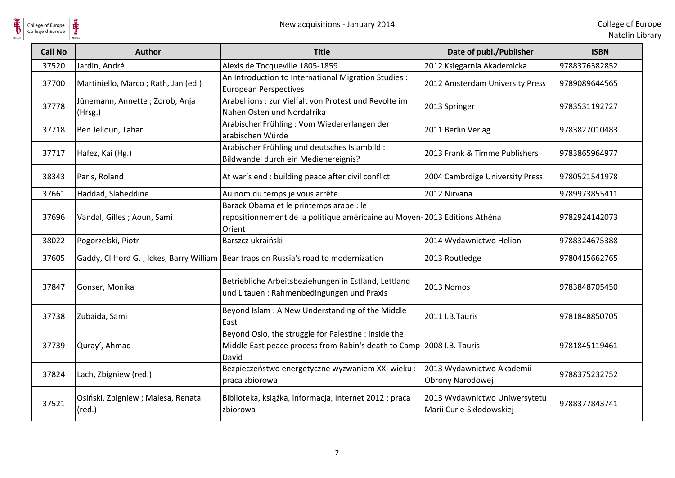| <b>Call No</b> | <b>Author</b>                                         | <b>Title</b>                                                                                                                             | Date of publ./Publisher                                   | <b>ISBN</b>   |
|----------------|-------------------------------------------------------|------------------------------------------------------------------------------------------------------------------------------------------|-----------------------------------------------------------|---------------|
| 37520          | Jardin, André                                         | Alexis de Tocqueville 1805-1859                                                                                                          | 2012 Księgarnia Akademicka                                | 9788376382852 |
| 37700          | Martiniello, Marco; Rath, Jan (ed.)                   | An Introduction to International Migration Studies :<br><b>European Perspectives</b>                                                     | 2012 Amsterdam University Press                           | 9789089644565 |
| 37778          | Jünemann, Annette; Zorob, Anja<br>(Hrsg.)             | Arabellions : zur Vielfalt von Protest und Revolte im<br>Nahen Osten und Nordafrika                                                      | 2013 Springer                                             | 9783531192727 |
| 37718          | Ben Jelloun, Tahar                                    | Arabischer Frühling: Vom Wiedererlangen der<br>arabischen Würde                                                                          | 2011 Berlin Verlag                                        | 9783827010483 |
| 37717          | Hafez, Kai (Hg.)                                      | Arabischer Frühling und deutsches Islambild :<br>Bildwandel durch ein Medienereignis?                                                    | 2013 Frank & Timme Publishers                             | 9783865964977 |
| 38343          | Paris, Roland                                         | At war's end : building peace after civil conflict                                                                                       | 2004 Cambrdige University Press                           | 9780521541978 |
| 37661          | Haddad, Slaheddine                                    | Au nom du temps je vous arrête                                                                                                           | 2012 Nirvana                                              | 9789973855411 |
| 37696          | Vandal, Gilles; Aoun, Sami                            | Barack Obama et le printemps arabe : le<br>repositionnement de la politique américaine au Moyen-2013 Editions Athéna<br>Orient           |                                                           | 9782924142073 |
| 38022          | Pogorzelski, Piotr                                    | Barszcz ukraiński                                                                                                                        | 2014 Wydawnictwo Helion                                   | 9788324675388 |
| 37605          |                                                       | Gaddy, Clifford G.; Ickes, Barry William Bear traps on Russia's road to modernization                                                    | 2013 Routledge                                            | 9780415662765 |
| 37847          | Gonser, Monika                                        | Betriebliche Arbeitsbeziehungen in Estland, Lettland<br>und Litauen: Rahmenbedingungen und Praxis                                        | 2013 Nomos                                                | 9783848705450 |
| 37738          | Zubaida, Sami                                         | Beyond Islam: A New Understanding of the Middle<br>East                                                                                  | 2011 I.B.Tauris                                           | 9781848850705 |
| 37739          | Quray', Ahmad                                         | Beyond Oslo, the struggle for Palestine : inside the<br>Middle East peace process from Rabin's death to Camp   2008 I.B. Tauris<br>David |                                                           | 9781845119461 |
| 37824          | Lach, Zbigniew (red.)                                 | Bezpieczeństwo energetyczne wyzwaniem XXI wieku :<br>praca zbiorowa                                                                      | 2013 Wydawnictwo Akademii<br>Obrony Narodowej             | 9788375232752 |
| 37521          | Osiński, Zbigniew ; Malesa, Renata<br>$(\text{red.})$ | Biblioteka, książka, informacja, Internet 2012 : praca<br>zbiorowa                                                                       | 2013 Wydawnictwo Uniwersytetu<br>Marii Curie-Skłodowskiej | 9788377843741 |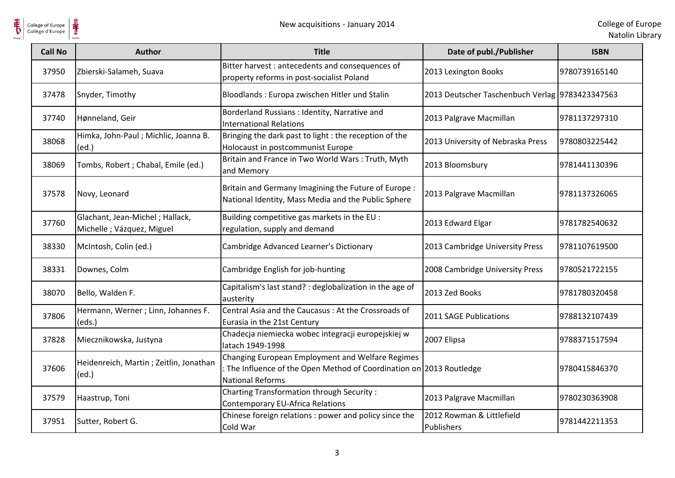

| <b>Call No</b> | <b>Author</b>                                                 | <b>Title</b>                                                                                                                                        | Date of publ./Publisher                         | <b>ISBN</b>   |
|----------------|---------------------------------------------------------------|-----------------------------------------------------------------------------------------------------------------------------------------------------|-------------------------------------------------|---------------|
| 37950          | Zbierski-Salameh, Suava                                       | Bitter harvest : antecedents and consequences of<br>property reforms in post-socialist Poland                                                       | 2013 Lexington Books                            | 9780739165140 |
| 37478          | Snyder, Timothy                                               | Bloodlands: Europa zwischen Hitler und Stalin                                                                                                       | 2013 Deutscher Taschenbuch Verlag 9783423347563 |               |
| 37740          | Hønneland, Geir                                               | Borderland Russians : Identity, Narrative and<br><b>International Relations</b>                                                                     | 2013 Palgrave Macmillan                         | 9781137297310 |
| 38068          | Himka, John-Paul; Michlic, Joanna B.<br>(ed.)                 | Bringing the dark past to light : the reception of the<br>Holocaust in postcommunist Europe                                                         | 2013 University of Nebraska Press               | 9780803225442 |
| 38069          | Tombs, Robert ; Chabal, Emile (ed.)                           | Britain and France in Two World Wars: Truth, Myth<br>and Memory                                                                                     | 2013 Bloomsbury                                 | 9781441130396 |
| 37578          | Novy, Leonard                                                 | Britain and Germany Imagining the Future of Europe :<br>National Identity, Mass Media and the Public Sphere                                         | 2013 Palgrave Macmillan                         | 9781137326065 |
| 37760          | Glachant, Jean-Michel; Hallack,<br>Michelle ; Vázquez, Miguel | Building competitive gas markets in the EU :<br>regulation, supply and demand                                                                       | 2013 Edward Elgar                               | 9781782540632 |
| 38330          | McIntosh, Colin (ed.)                                         | Cambridge Advanced Learner's Dictionary                                                                                                             | 2013 Cambridge University Press                 | 9781107619500 |
| 38331          | Downes, Colm                                                  | Cambridge English for job-hunting                                                                                                                   | 2008 Cambridge University Press                 | 9780521722155 |
| 38070          | Bello, Walden F.                                              | Capitalism's last stand? : deglobalization in the age of<br>austerity                                                                               | 2013 Zed Books                                  | 9781780320458 |
| 37806          | Hermann, Werner ; Linn, Johannes F.<br>(eds.)                 | Central Asia and the Caucasus: At the Crossroads of<br>Eurasia in the 21st Century                                                                  | 2011 SAGE Publications                          | 9788132107439 |
| 37828          | Miecznikowska, Justyna                                        | Chadecja niemiecka wobec integracji europejskiej w<br>latach 1949-1998                                                                              | 2007 Elipsa                                     | 9788371517594 |
| 37606          | Heidenreich, Martin; Zeitlin, Jonathan<br>(ed.)               | Changing European Employment and Welfare Regimes<br>: The Influence of the Open Method of Coordination on 2013 Routledge<br><b>National Reforms</b> |                                                 | 9780415846370 |
| 37579          | Haastrup, Toni                                                | Charting Transformation through Security:<br><b>Contemporary EU-Africa Relations</b>                                                                | 2013 Palgrave Macmillan                         | 9780230363908 |
| 37951          | Sutter, Robert G.                                             | Chinese foreign relations: power and policy since the<br>Cold War                                                                                   | 2012 Rowman & Littlefield<br>Publishers         | 9781442211353 |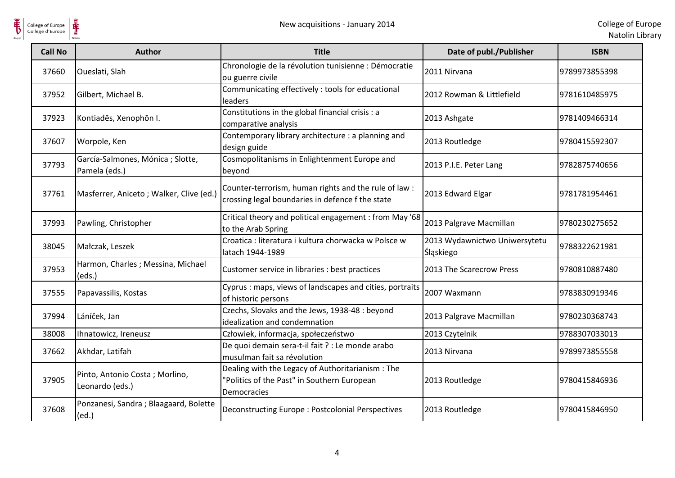

| <b>Call No</b> | <b>Author</b>                                      | <b>Title</b>                                                                                                    | Date of publ./Publisher                           | <b>ISBN</b>   |
|----------------|----------------------------------------------------|-----------------------------------------------------------------------------------------------------------------|---------------------------------------------------|---------------|
| 37660          | Oueslati, Slah                                     | Chronologie de la révolution tunisienne : Démocratie<br>ou guerre civile                                        | 2011 Nirvana                                      | 9789973855398 |
| 37952          | Gilbert, Michael B.                                | Communicating effectively : tools for educational<br>leaders                                                    | 2012 Rowman & Littlefield                         | 9781610485975 |
| 37923          | Kontiades, Xenophon I.                             | Constitutions in the global financial crisis : a<br>comparative analysis                                        | 2013 Ashgate                                      | 9781409466314 |
| 37607          | Worpole, Ken                                       | Contemporary library architecture : a planning and<br>design guide                                              | 2013 Routledge                                    | 9780415592307 |
| 37793          | García-Salmones, Mónica ; Slotte,<br>Pamela (eds.) | Cosmopolitanisms in Enlightenment Europe and<br>beyond                                                          | 2013 P.I.E. Peter Lang                            | 9782875740656 |
| 37761          | Masferrer, Aniceto; Walker, Clive (ed.)            | Counter-terrorism, human rights and the rule of law :<br>crossing legal boundaries in defence f the state       | 2013 Edward Elgar                                 | 9781781954461 |
| 37993          | Pawling, Christopher                               | Critical theory and political engagement : from May '68<br>to the Arab Spring                                   | 2013 Palgrave Macmillan                           | 9780230275652 |
| 38045          | Małczak, Leszek                                    | Croatica : literatura i kultura chorwacka w Polsce w<br>latach 1944-1989                                        | 2013 Wydawnictwo Uniwersytetu<br><b>Śląskiego</b> | 9788322621981 |
| 37953          | Harmon, Charles; Messina, Michael<br>(eds.)        | Customer service in libraries : best practices                                                                  | 2013 The Scarecrow Press                          | 9780810887480 |
| 37555          | Papavassilis, Kostas                               | Cyprus: maps, views of landscapes and cities, portraits<br>of historic persons                                  | 2007 Waxmann                                      | 9783830919346 |
| 37994          | Láníček, Jan                                       | Czechs, Slovaks and the Jews, 1938-48 : beyond<br>idealization and condemnation                                 | 2013 Palgrave Macmillan                           | 9780230368743 |
| 38008          | Ihnatowicz, Ireneusz                               | Człowiek, informacja, społeczeństwo                                                                             | 2013 Czytelnik                                    | 9788307033013 |
| 37662          | Akhdar, Latifah                                    | De quoi demain sera-t-il fait ? : Le monde arabo<br>musulman fait sa révolution                                 | 2013 Nirvana                                      | 9789973855558 |
| 37905          | Pinto, Antonio Costa; Morlino,<br>Leonardo (eds.)  | Dealing with the Legacy of Authoritarianism : The<br>"Politics of the Past" in Southern European<br>Democracies | 2013 Routledge                                    | 9780415846936 |
| 37608          | Ponzanesi, Sandra; Blaagaard, Bolette<br>(ed.)     | Deconstructing Europe: Postcolonial Perspectives                                                                | 2013 Routledge                                    | 9780415846950 |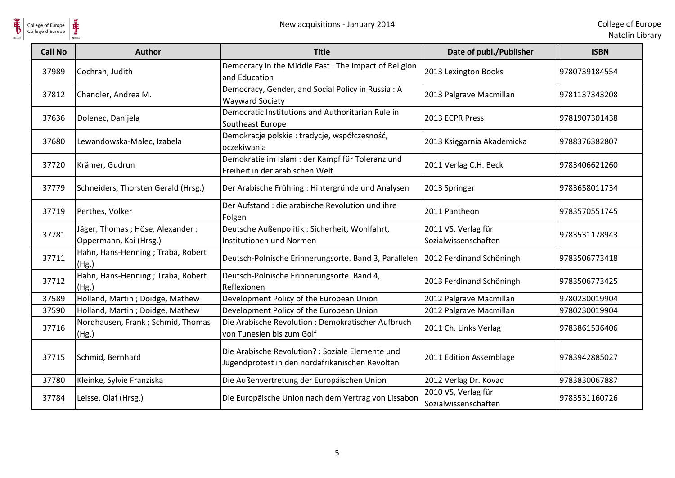

| <b>Call No</b> | <b>Author</b>                                             | <b>Title</b>                                                                                        | Date of publ./Publisher                     | <b>ISBN</b>   |
|----------------|-----------------------------------------------------------|-----------------------------------------------------------------------------------------------------|---------------------------------------------|---------------|
| 37989          | Cochran, Judith                                           | Democracy in the Middle East: The Impact of Religion<br>and Education                               | 2013 Lexington Books                        | 9780739184554 |
| 37812          | Chandler, Andrea M.                                       | Democracy, Gender, and Social Policy in Russia: A<br><b>Wayward Society</b>                         | 2013 Palgrave Macmillan                     | 9781137343208 |
| 37636          | Dolenec, Danijela                                         | Democratic Institutions and Authoritarian Rule in<br>Southeast Europe                               | 2013 ECPR Press                             | 9781907301438 |
| 37680          | Lewandowska-Malec, Izabela                                | Demokracje polskie: tradycje, współczesność,<br>oczekiwania                                         | 2013 Księgarnia Akademicka                  | 9788376382807 |
| 37720          | Krämer, Gudrun                                            | Demokratie im Islam : der Kampf für Toleranz und<br>Freiheit in der arabischen Welt                 | 2011 Verlag C.H. Beck                       | 9783406621260 |
| 37779          | Schneiders, Thorsten Gerald (Hrsg.)                       | Der Arabische Frühling: Hintergründe und Analysen                                                   | 2013 Springer                               | 9783658011734 |
| 37719          | Perthes, Volker                                           | Der Aufstand: die arabische Revolution und ihre<br>Folgen                                           | 2011 Pantheon                               | 9783570551745 |
| 37781          | Jäger, Thomas; Höse, Alexander;<br>Oppermann, Kai (Hrsg.) | Deutsche Außenpolitik : Sicherheit, Wohlfahrt,<br>Institutionen und Normen                          | 2011 VS, Verlag für<br>Sozialwissenschaften | 9783531178943 |
| 37711          | Hahn, Hans-Henning; Traba, Robert<br>(Hg.)                | Deutsch-Polnische Erinnerungsorte. Band 3, Parallelen                                               | 2012 Ferdinand Schöningh                    | 9783506773418 |
| 37712          | Hahn, Hans-Henning; Traba, Robert<br>(Hg.)                | Deutsch-Polnische Erinnerungsorte. Band 4,<br>Reflexionen                                           | 2013 Ferdinand Schöningh                    | 9783506773425 |
| 37589          | Holland, Martin; Doidge, Mathew                           | Development Policy of the European Union                                                            | 2012 Palgrave Macmillan                     | 9780230019904 |
| 37590          | Holland, Martin; Doidge, Mathew                           | Development Policy of the European Union                                                            | 2012 Palgrave Macmillan                     | 9780230019904 |
| 37716          | Nordhausen, Frank ; Schmid, Thomas<br>(Hg.)               | Die Arabische Revolution: Demokratischer Aufbruch<br>von Tunesien bis zum Golf                      | 2011 Ch. Links Verlag                       | 9783861536406 |
| 37715          | Schmid, Bernhard                                          | Die Arabische Revolution? : Soziale Elemente und<br>Jugendprotest in den nordafrikanischen Revolten | 2011 Edition Assemblage                     | 9783942885027 |
| 37780          | Kleinke, Sylvie Franziska                                 | Die Außenvertretung der Europäischen Union                                                          | 2012 Verlag Dr. Kovac                       | 9783830067887 |
| 37784          | Leisse, Olaf (Hrsg.)                                      | Die Europäische Union nach dem Vertrag von Lissabon                                                 | 2010 VS, Verlag für<br>Sozialwissenschaften | 9783531160726 |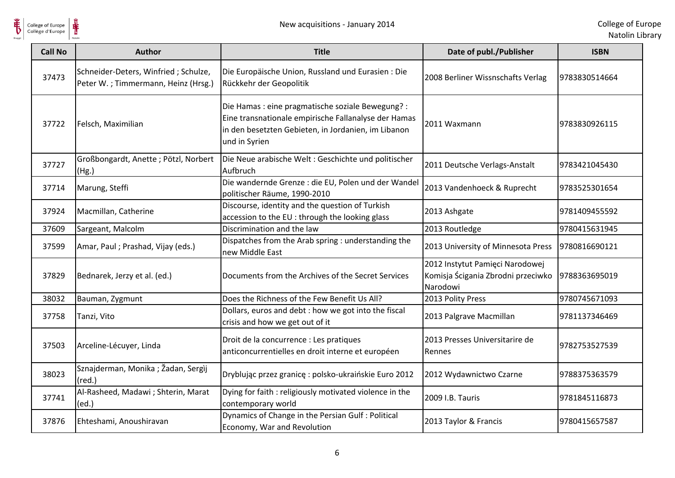College of Europe<br>Collège d'Europe

| <b>Call No</b> | <b>Author</b>                                                               | <b>Title</b>                                                                                                                                                                      | Date of publ./Publisher                                                           | <b>ISBN</b>   |
|----------------|-----------------------------------------------------------------------------|-----------------------------------------------------------------------------------------------------------------------------------------------------------------------------------|-----------------------------------------------------------------------------------|---------------|
| 37473          | Schneider-Deters, Winfried; Schulze,<br>Peter W.; Timmermann, Heinz (Hrsg.) | Die Europäische Union, Russland und Eurasien : Die<br>Rückkehr der Geopolitik                                                                                                     | 2008 Berliner Wissnschafts Verlag                                                 | 9783830514664 |
| 37722          | Felsch, Maximilian                                                          | Die Hamas : eine pragmatische soziale Bewegung? :<br>Eine transnationale empirische Fallanalyse der Hamas<br>in den besetzten Gebieten, in Jordanien, im Libanon<br>und in Syrien | 2011 Waxmann                                                                      | 9783830926115 |
| 37727          | Großbongardt, Anette; Pötzl, Norbert<br>(Hg.)                               | Die Neue arabische Welt: Geschichte und politischer<br>Aufbruch                                                                                                                   | 2011 Deutsche Verlags-Anstalt                                                     | 9783421045430 |
| 37714          | Marung, Steffi                                                              | Die wandernde Grenze : die EU, Polen und der Wandel<br>politischer Räume, 1990-2010                                                                                               | 2013 Vandenhoeck & Ruprecht                                                       | 9783525301654 |
| 37924          | Macmillan, Catherine                                                        | Discourse, identity and the question of Turkish<br>accession to the EU : through the looking glass                                                                                | 2013 Ashgate                                                                      | 9781409455592 |
| 37609          | Sargeant, Malcolm                                                           | Discrimination and the law                                                                                                                                                        | 2013 Routledge                                                                    | 9780415631945 |
| 37599          | Amar, Paul ; Prashad, Vijay (eds.)                                          | Dispatches from the Arab spring : understanding the<br>new Middle East                                                                                                            | 2013 University of Minnesota Press                                                | 9780816690121 |
| 37829          | Bednarek, Jerzy et al. (ed.)                                                | Documents from the Archives of the Secret Services                                                                                                                                | 2012 Instytut Pamięci Narodowej<br>Komisja Ścigania Zbrodni przeciwko<br>Narodowi | 9788363695019 |
| 38032          | Bauman, Zygmunt                                                             | Does the Richness of the Few Benefit Us All?                                                                                                                                      | 2013 Polity Press                                                                 | 9780745671093 |
| 37758          | Tanzi, Vito                                                                 | Dollars, euros and debt : how we got into the fiscal<br>crisis and how we get out of it                                                                                           | 2013 Palgrave Macmillan                                                           | 9781137346469 |
| 37503          | Arceline-Lécuyer, Linda                                                     | Droit de la concurrence : Les pratiques<br>anticoncurrentielles en droit interne et européen                                                                                      | 2013 Presses Universitarire de<br>Rennes                                          | 9782753527539 |
| 38023          | Sznajderman, Monika; Žadan, Sergìj<br>$(\text{red.})$                       | Dryblując przez granicę: polsko-ukraińskie Euro 2012                                                                                                                              | 2012 Wydawnictwo Czarne                                                           | 9788375363579 |
| 37741          | Al-Rasheed, Madawi; Shterin, Marat<br>(ed.)                                 | Dying for faith : religiously motivated violence in the<br>contemporary world                                                                                                     | 2009 I.B. Tauris                                                                  | 9781845116873 |
| 37876          | Ehteshami, Anoushiravan                                                     | Dynamics of Change in the Persian Gulf : Political<br>Economy, War and Revolution                                                                                                 | 2013 Taylor & Francis                                                             | 9780415657587 |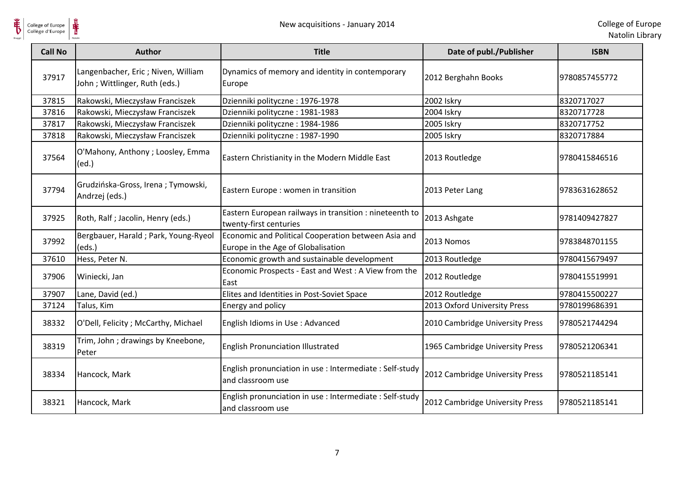$\frac{1}{\frac{1}{\sqrt{2}}\sum_{\text{Matrices}}^{\infty}$ 

| <b>Call No</b> | Author                                                               | <b>Title</b>                                                                              | Date of publ./Publisher         | <b>ISBN</b>   |
|----------------|----------------------------------------------------------------------|-------------------------------------------------------------------------------------------|---------------------------------|---------------|
| 37917          | Langenbacher, Eric ; Niven, William<br>John; Wittlinger, Ruth (eds.) | Dynamics of memory and identity in contemporary<br>Europe                                 | 2012 Berghahn Books             | 9780857455772 |
| 37815          | Rakowski, Mieczysław Franciszek                                      | Dzienniki polityczne: 1976-1978                                                           | 2002 Iskry                      | 8320717027    |
| 37816          | Rakowski, Mieczysław Franciszek                                      | Dzienniki polityczne: 1981-1983                                                           | 2004 Iskry                      | 8320717728    |
| 37817          | Rakowski, Mieczysław Franciszek                                      | Dzienniki polityczne: 1984-1986                                                           | 2005 Iskry                      | 8320717752    |
| 37818          | Rakowski, Mieczysław Franciszek                                      | Dzienniki polityczne: 1987-1990                                                           | 2005 Iskry                      | 8320717884    |
| 37564          | O'Mahony, Anthony; Loosley, Emma<br>(ed.)                            | Eastern Christianity in the Modern Middle East                                            | 2013 Routledge                  | 9780415846516 |
| 37794          | Grudzińska-Gross, Irena; Tymowski,<br>Andrzej (eds.)                 | Eastern Europe : women in transition                                                      | 2013 Peter Lang                 | 9783631628652 |
| 37925          | Roth, Ralf; Jacolin, Henry (eds.)                                    | Eastern European railways in transition : nineteenth to<br>twenty-first centuries         | 2013 Ashgate                    | 9781409427827 |
| 37992          | Bergbauer, Harald; Park, Young-Ryeol<br>(eds.)                       | Economic and Political Cooperation between Asia and<br>Europe in the Age of Globalisation | 2013 Nomos                      | 9783848701155 |
| 37610          | Hess, Peter N.                                                       | Economic growth and sustainable development                                               | 2013 Routledge                  | 9780415679497 |
| 37906          | Winiecki, Jan                                                        | Economic Prospects - East and West : A View from the<br>East                              | 2012 Routledge                  | 9780415519991 |
| 37907          | Lane, David (ed.)                                                    | Elites and Identities in Post-Soviet Space                                                | 2012 Routledge                  | 9780415500227 |
| 37124          | Talus, Kim                                                           | Energy and policy                                                                         | 2013 Oxford University Press    | 9780199686391 |
| 38332          | O'Dell, Felicity ; McCarthy, Michael                                 | English Idioms in Use : Advanced                                                          | 2010 Cambridge University Press | 9780521744294 |
| 38319          | Trim, John; drawings by Kneebone,<br>Peter                           | <b>English Pronunciation Illustrated</b>                                                  | 1965 Cambridge University Press | 9780521206341 |
| 38334          | Hancock, Mark                                                        | English pronunciation in use : Intermediate : Self-study<br>and classroom use             | 2012 Cambridge University Press | 9780521185141 |
| 38321          | Hancock, Mark                                                        | English pronunciation in use : Intermediate : Self-study<br>and classroom use             | 2012 Cambridge University Press | 9780521185141 |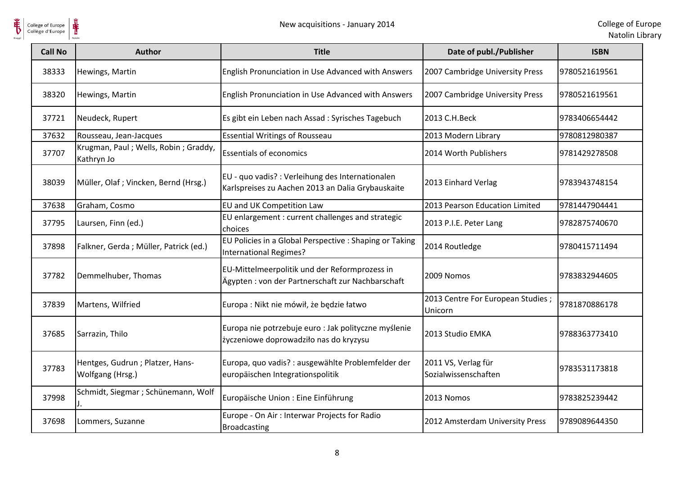

| <b>Call No</b> | <b>Author</b>                                        | <b>Title</b>                                                                                          | Date of publ./Publisher                      | <b>ISBN</b>   |
|----------------|------------------------------------------------------|-------------------------------------------------------------------------------------------------------|----------------------------------------------|---------------|
| 38333          | Hewings, Martin                                      | English Pronunciation in Use Advanced with Answers                                                    | 2007 Cambridge University Press              | 9780521619561 |
| 38320          | Hewings, Martin                                      | English Pronunciation in Use Advanced with Answers                                                    | 2007 Cambridge University Press              | 9780521619561 |
| 37721          | Neudeck, Rupert                                      | Es gibt ein Leben nach Assad : Syrisches Tagebuch                                                     | 2013 C.H.Beck                                | 9783406654442 |
| 37632          | Rousseau, Jean-Jacques                               | <b>Essential Writings of Rousseau</b>                                                                 | 2013 Modern Library                          | 9780812980387 |
| 37707          | Krugman, Paul; Wells, Robin; Graddy,<br>Kathryn Jo   | <b>Essentials of economics</b>                                                                        | 2014 Worth Publishers                        | 9781429278508 |
| 38039          | Müller, Olaf; Vincken, Bernd (Hrsg.)                 | EU - quo vadis? : Verleihung des Internationalen<br>Karlspreises zu Aachen 2013 an Dalia Grybauskaite | 2013 Einhard Verlag                          | 9783943748154 |
| 37638          | Graham, Cosmo                                        | <b>EU and UK Competition Law</b>                                                                      | 2013 Pearson Education Limited               | 9781447904441 |
| 37795          | Laursen, Finn (ed.)                                  | EU enlargement : current challenges and strategic<br>choices                                          | 2013 P.I.E. Peter Lang                       | 9782875740670 |
| 37898          | Falkner, Gerda; Müller, Patrick (ed.)                | EU Policies in a Global Perspective : Shaping or Taking<br>International Regimes?                     | 2014 Routledge                               | 9780415711494 |
| 37782          | Demmelhuber, Thomas                                  | EU-Mittelmeerpolitik und der Reformprozess in<br>Ägypten: von der Partnerschaft zur Nachbarschaft     | 2009 Nomos                                   | 9783832944605 |
| 37839          | Martens, Wilfried                                    | Europa : Nikt nie mówił, że będzie łatwo                                                              | 2013 Centre For European Studies;<br>Unicorn | 9781870886178 |
| 37685          | Sarrazin, Thilo                                      | Europa nie potrzebuje euro : Jak polityczne myślenie<br>życzeniowe doprowadziło nas do kryzysu        | 2013 Studio EMKA                             | 9788363773410 |
| 37783          | Hentges, Gudrun ; Platzer, Hans-<br>Wolfgang (Hrsg.) | Europa, quo vadis? : ausgewählte Problemfelder der<br>europäischen Integrationspolitik                | 2011 VS, Verlag für<br>Sozialwissenschaften  | 9783531173818 |
| 37998          | Schmidt, Siegmar ; Schünemann, Wolf                  | Europäische Union : Eine Einführung                                                                   | 2013 Nomos                                   | 9783825239442 |
| 37698          | Lommers, Suzanne                                     | Europe - On Air: Interwar Projects for Radio<br><b>Broadcasting</b>                                   | 2012 Amsterdam University Press              | 9789089644350 |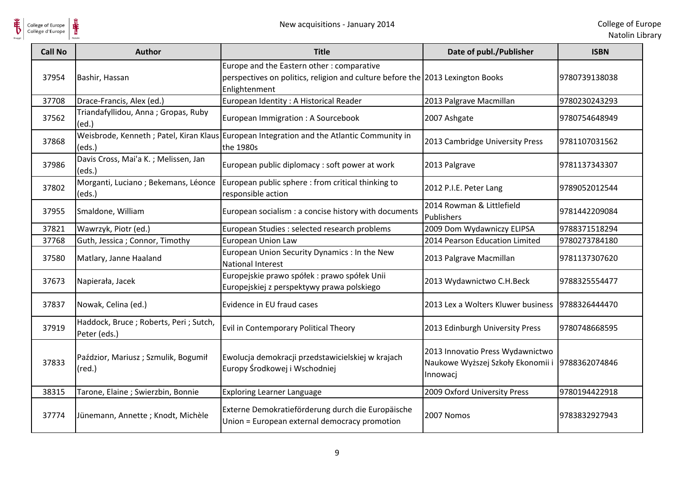

| <b>Call No</b> | <b>Author</b>                                          | <b>Title</b>                                                                                                                                 | Date of publ./Publisher                                                                         | <b>ISBN</b>   |
|----------------|--------------------------------------------------------|----------------------------------------------------------------------------------------------------------------------------------------------|-------------------------------------------------------------------------------------------------|---------------|
| 37954          | Bashir, Hassan                                         | Europe and the Eastern other: comparative<br>perspectives on politics, religion and culture before the 2013 Lexington Books<br>Enlightenment |                                                                                                 | 9780739138038 |
| 37708          | Drace-Francis, Alex (ed.)                              | European Identity: A Historical Reader                                                                                                       | 2013 Palgrave Macmillan                                                                         | 9780230243293 |
| 37562          | Triandafyllidou, Anna; Gropas, Ruby<br>(ed.)           | European Immigration: A Sourcebook                                                                                                           | 2007 Ashgate                                                                                    | 9780754648949 |
| 37868          | (eds.)                                                 | Weisbrode, Kenneth; Patel, Kiran Klaus European Integration and the Atlantic Community in<br>the 1980s                                       | 2013 Cambridge University Press                                                                 | 9781107031562 |
| 37986          | Davis Cross, Mai'a K.; Melissen, Jan<br>(eds.)         | European public diplomacy : soft power at work                                                                                               | 2013 Palgrave                                                                                   | 9781137343307 |
| 37802          | Morganti, Luciano; Bekemans, Léonce<br>(eds.)          | European public sphere : from critical thinking to<br>responsible action                                                                     | 2012 P.I.E. Peter Lang                                                                          | 9789052012544 |
| 37955          | Smaldone, William                                      | European socialism : a concise history with documents                                                                                        | 2014 Rowman & Littlefield<br>Publishers                                                         | 9781442209084 |
| 37821          | Wawrzyk, Piotr (ed.)                                   | European Studies : selected research problems                                                                                                | 2009 Dom Wydawniczy ELIPSA                                                                      | 9788371518294 |
| 37768          | Guth, Jessica; Connor, Timothy                         | European Union Law                                                                                                                           | 2014 Pearson Education Limited                                                                  | 9780273784180 |
| 37580          | Matlary, Janne Haaland                                 | European Union Security Dynamics : In the New<br><b>National Interest</b>                                                                    | 2013 Palgrave Macmillan                                                                         | 9781137307620 |
| 37673          | Napierała, Jacek                                       | Europejskie prawo spółek : prawo spółek Unii<br>Europejskiej z perspektywy prawa polskiego                                                   | 2013 Wydawnictwo C.H.Beck                                                                       | 9788325554477 |
| 37837          | Nowak, Celina (ed.)                                    | Evidence in EU fraud cases                                                                                                                   | 2013 Lex a Wolters Kluwer business                                                              | 9788326444470 |
| 37919          | Haddock, Bruce; Roberts, Peri; Sutch,<br>Peter (eds.)  | Evil in Contemporary Political Theory                                                                                                        | 2013 Edinburgh University Press                                                                 | 9780748668595 |
| 37833          | Paździor, Mariusz; Szmulik, Bogumił<br>$(\text{red.})$ | Ewolucja demokracji przedstawicielskiej w krajach<br>Europy Środkowej i Wschodniej                                                           | 2013 Innovatio Press Wydawnictwo<br>Naukowe Wyższej Szkoły Ekonomii i 9788362074846<br>Innowacj |               |
| 38315          | Tarone, Elaine; Swierzbin, Bonnie                      | <b>Exploring Learner Language</b>                                                                                                            | 2009 Oxford University Press                                                                    | 9780194422918 |
| 37774          | Jünemann, Annette; Knodt, Michèle                      | Externe Demokratieförderung durch die Europäische<br>Union = European external democracy promotion                                           | 2007 Nomos                                                                                      | 9783832927943 |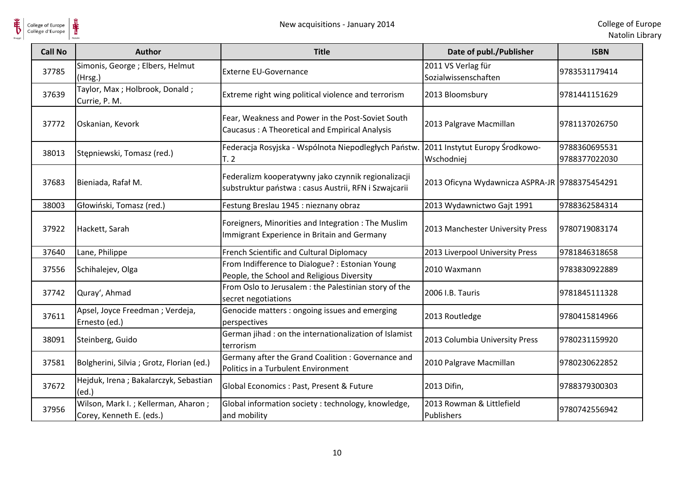



| <b>Call No</b> | <b>Author</b>                                                   | <b>Title</b>                                                                                                | Date of publ./Publisher                        | <b>ISBN</b>                    |
|----------------|-----------------------------------------------------------------|-------------------------------------------------------------------------------------------------------------|------------------------------------------------|--------------------------------|
| 37785          | Simonis, George; Elbers, Helmut<br>(Hrsg.)                      | <b>Externe EU-Governance</b>                                                                                | 2011 VS Verlag für<br>Sozialwissenschaften     | 9783531179414                  |
| 37639          | Taylor, Max; Holbrook, Donald;<br>Currie, P. M.                 | Extreme right wing political violence and terrorism                                                         | 2013 Bloomsbury                                | 9781441151629                  |
| 37772          | Oskanian, Kevork                                                | Fear, Weakness and Power in the Post-Soviet South<br>Caucasus: A Theoretical and Empirical Analysis         | 2013 Palgrave Macmillan                        | 9781137026750                  |
| 38013          | Stępniewski, Tomasz (red.)                                      | Federacja Rosyjska - Wspólnota Niepodległych Państw.<br>T.2                                                 | 2011 Instytut Europy Środkowo-<br>Wschodniej   | 9788360695531<br>9788377022030 |
| 37683          | Bieniada, Rafał M.                                              | Federalizm kooperatywny jako czynnik regionalizacji<br>substruktur państwa: casus Austrii, RFN i Szwajcarii | 2013 Oficyna Wydawnicza ASPRA-JR 9788375454291 |                                |
| 38003          | Głowiński, Tomasz (red.)                                        | Festung Breslau 1945 : nieznany obraz                                                                       | 2013 Wydawnictwo Gajt 1991                     | 9788362584314                  |
| 37922          | Hackett, Sarah                                                  | Foreigners, Minorities and Integration: The Muslim<br>Immigrant Experience in Britain and Germany           | 2013 Manchester University Press               | 9780719083174                  |
| 37640          | Lane, Philippe                                                  | French Scientific and Cultural Diplomacy                                                                    | 2013 Liverpool University Press                | 9781846318658                  |
| 37556          | Schihalejev, Olga                                               | From Indifference to Dialogue? : Estonian Young<br>People, the School and Religious Diversity               | 2010 Waxmann                                   | 9783830922889                  |
| 37742          | Quray', Ahmad                                                   | From Oslo to Jerusalem : the Palestinian story of the<br>secret negotiations                                | 2006 I.B. Tauris                               | 9781845111328                  |
| 37611          | Apsel, Joyce Freedman; Verdeja,<br>Ernesto (ed.)                | Genocide matters : ongoing issues and emerging<br>perspectives                                              | 2013 Routledge                                 | 9780415814966                  |
| 38091          | Steinberg, Guido                                                | German jihad : on the internationalization of Islamist<br>terrorism                                         | 2013 Columbia University Press                 | 9780231159920                  |
| 37581          | Bolgherini, Silvia ; Grotz, Florian (ed.)                       | Germany after the Grand Coalition : Governance and<br>Politics in a Turbulent Environment                   | 2010 Palgrave Macmillan                        | 9780230622852                  |
| 37672          | Hejduk, Irena; Bakalarczyk, Sebastian<br>(ed.)                  | Global Economics: Past, Present & Future                                                                    | 2013 Difin,                                    | 9788379300303                  |
| 37956          | Wilson, Mark I.; Kellerman, Aharon;<br>Corey, Kenneth E. (eds.) | Global information society: technology, knowledge,<br>and mobility                                          | 2013 Rowman & Littlefield<br>Publishers        | 9780742556942                  |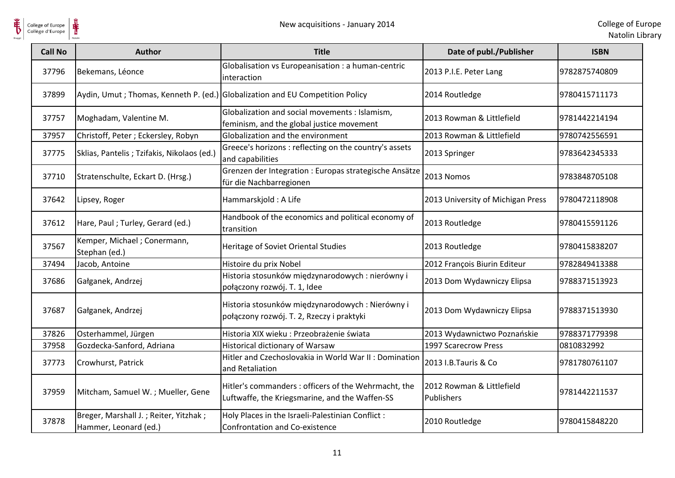

College of Europe

| <b>Call No</b> | <b>Author</b>                                                  | <b>Title</b>                                                                                           | Date of publ./Publisher                 | <b>ISBN</b>   |
|----------------|----------------------------------------------------------------|--------------------------------------------------------------------------------------------------------|-----------------------------------------|---------------|
| 37796          | Bekemans, Léonce                                               | Globalisation vs Europeanisation : a human-centric<br>interaction                                      | 2013 P.I.E. Peter Lang                  | 9782875740809 |
| 37899          |                                                                | Aydin, Umut; Thomas, Kenneth P. (ed.) Globalization and EU Competition Policy                          | 2014 Routledge                          | 9780415711173 |
| 37757          | Moghadam, Valentine M.                                         | Globalization and social movements : Islamism,<br>feminism, and the global justice movement            | 2013 Rowman & Littlefield               | 9781442214194 |
| 37957          | Christoff, Peter; Eckersley, Robyn                             | Globalization and the environment                                                                      | 2013 Rowman & Littlefield               | 9780742556591 |
| 37775          | Sklias, Pantelis ; Tzifakis, Nikolaos (ed.)                    | Greece's horizons : reflecting on the country's assets<br>and capabilities                             | 2013 Springer                           | 9783642345333 |
| 37710          | Stratenschulte, Eckart D. (Hrsg.)                              | Grenzen der Integration : Europas strategische Ansätze<br>für die Nachbarregionen                      | 2013 Nomos                              | 9783848705108 |
| 37642          | Lipsey, Roger                                                  | Hammarskjold: A Life                                                                                   | 2013 University of Michigan Press       | 9780472118908 |
| 37612          | Hare, Paul; Turley, Gerard (ed.)                               | Handbook of the economics and political economy of<br>transition                                       | 2013 Routledge                          | 9780415591126 |
| 37567          | Kemper, Michael; Conermann,<br>Stephan (ed.)                   | Heritage of Soviet Oriental Studies                                                                    | 2013 Routledge                          | 9780415838207 |
| 37494          | Jacob, Antoine                                                 | Histoire du prix Nobel                                                                                 | 2012 François Biurin Editeur            | 9782849413388 |
| 37686          | Gałganek, Andrzej                                              | Historia stosunków międzynarodowych : nierówny i<br>połączony rozwój. T. 1, Idee                       | 2013 Dom Wydawniczy Elipsa              | 9788371513923 |
| 37687          | Gałganek, Andrzej                                              | Historia stosunków międzynarodowych: Nierówny i<br>połączony rozwój. T. 2, Rzeczy i praktyki           | 2013 Dom Wydawniczy Elipsa              | 9788371513930 |
| 37826          | Osterhammel, Jürgen                                            | Historia XIX wieku: Przeobrażenie świata                                                               | 2013 Wydawnictwo Poznańskie             | 9788371779398 |
| 37958          | Gozdecka-Sanford, Adriana                                      | Historical dictionary of Warsaw                                                                        | 1997 Scarecrow Press                    | 0810832992    |
| 37773          | Crowhurst, Patrick                                             | Hitler and Czechoslovakia in World War II: Domination<br>and Retaliation                               | 2013 I.B. Tauris & Co                   | 9781780761107 |
| 37959          | Mitcham, Samuel W.; Mueller, Gene                              | Hitler's commanders : officers of the Wehrmacht, the<br>Luftwaffe, the Kriegsmarine, and the Waffen-SS | 2012 Rowman & Littlefield<br>Publishers | 9781442211537 |
| 37878          | Breger, Marshall J.; Reiter, Yitzhak;<br>Hammer, Leonard (ed.) | Holy Places in the Israeli-Palestinian Conflict :<br><b>Confrontation and Co-existence</b>             | 2010 Routledge                          | 9780415848220 |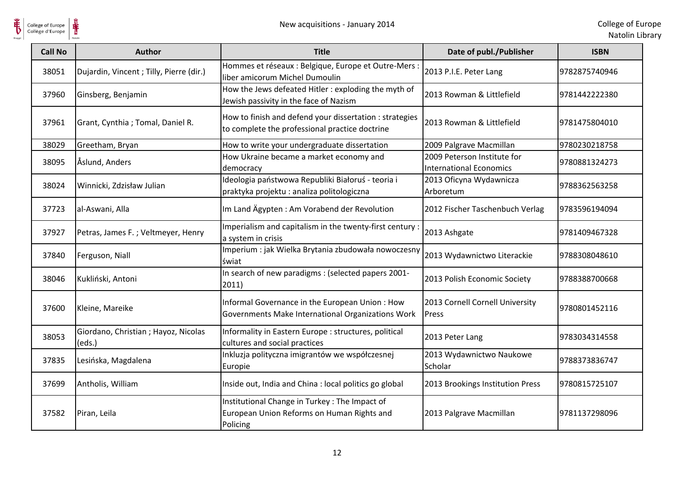

| <b>Call No</b> | <b>Author</b>                                  | <b>Title</b>                                                                                              | Date of publ./Publisher                                       | <b>ISBN</b>   |
|----------------|------------------------------------------------|-----------------------------------------------------------------------------------------------------------|---------------------------------------------------------------|---------------|
| 38051          | Dujardin, Vincent; Tilly, Pierre (dir.)        | Hommes et réseaux : Belgique, Europe et Outre-Mers :<br>liber amicorum Michel Dumoulin                    | 2013 P.I.E. Peter Lang                                        | 9782875740946 |
| 37960          | Ginsberg, Benjamin                             | How the Jews defeated Hitler : exploding the myth of<br>Jewish passivity in the face of Nazism            | 2013 Rowman & Littlefield                                     | 9781442222380 |
| 37961          | Grant, Cynthia ; Tomal, Daniel R.              | How to finish and defend your dissertation : strategies<br>to complete the professional practice doctrine | 2013 Rowman & Littlefield                                     | 9781475804010 |
| 38029          | Greetham, Bryan                                | How to write your undergraduate dissertation                                                              | 2009 Palgrave Macmillan                                       | 9780230218758 |
| 38095          | Åslund, Anders                                 | How Ukraine became a market economy and<br>democracy                                                      | 2009 Peterson Institute for<br><b>International Economics</b> | 9780881324273 |
| 38024          | Winnicki, Zdzisław Julian                      | Ideologia państwowa Republiki Białoruś - teoria i<br>praktyka projektu: analiza politologiczna            | 2013 Oficyna Wydawnicza<br>Arboretum                          | 9788362563258 |
| 37723          | al-Aswani, Alla                                | Im Land Ägypten: Am Vorabend der Revolution                                                               | 2012 Fischer Taschenbuch Verlag                               | 9783596194094 |
| 37927          | Petras, James F.; Veltmeyer, Henry             | Imperialism and capitalism in the twenty-first century<br>a system in crisis                              | 2013 Ashgate                                                  | 9781409467328 |
| 37840          | Ferguson, Niall                                | Imperium : jak Wielka Brytania zbudowała nowoczesny<br>świat                                              | 2013 Wydawnictwo Literackie                                   | 9788308048610 |
| 38046          | Kukliński, Antoni                              | In search of new paradigms : (selected papers 2001-<br>2011)                                              | 2013 Polish Economic Society                                  | 9788388700668 |
| 37600          | Kleine, Mareike                                | Informal Governance in the European Union: How<br>Governments Make International Organizations Work       | 2013 Cornell Cornell University<br>Press                      | 9780801452116 |
| 38053          | Giordano, Christian ; Hayoz, Nicolas<br>(eds.) | Informality in Eastern Europe : structures, political<br>cultures and social practices                    | 2013 Peter Lang                                               | 9783034314558 |
| 37835          | Lesińska, Magdalena                            | Inkluzja polityczna imigrantów we współczesnej<br>Europie                                                 | 2013 Wydawnictwo Naukowe<br>Scholar                           | 9788373836747 |
| 37699          | Antholis, William                              | Inside out, India and China : local politics go global                                                    | 2013 Brookings Institution Press                              | 9780815725107 |
| 37582          | Piran, Leila                                   | Institutional Change in Turkey: The Impact of<br>European Union Reforms on Human Rights and<br>Policing   | 2013 Palgrave Macmillan                                       | 9781137298096 |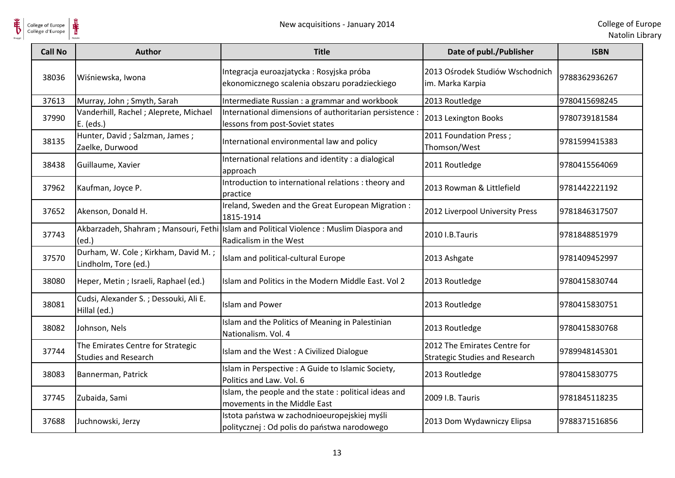

| <b>Call No</b> | <b>Author</b>                                                    | <b>Title</b>                                                                                                     | Date of publ./Publisher                                               | <b>ISBN</b>   |
|----------------|------------------------------------------------------------------|------------------------------------------------------------------------------------------------------------------|-----------------------------------------------------------------------|---------------|
| 38036          | Wiśniewska, Iwona                                                | Integracja euroazjatycka: Rosyjska próba<br>ekonomicznego scalenia obszaru poradzieckiego                        | 2013 Ośrodek Studiów Wschodnich<br>im. Marka Karpia                   | 9788362936267 |
| 37613          | Murray, John; Smyth, Sarah                                       | Intermediate Russian : a grammar and workbook                                                                    | 2013 Routledge                                                        | 9780415698245 |
| 37990          | Vanderhill, Rachel; Aleprete, Michael<br>E. (eds.)               | International dimensions of authoritarian persistence :<br>lessons from post-Soviet states                       | 2013 Lexington Books                                                  | 9780739181584 |
| 38135          | Hunter, David; Salzman, James;<br>Zaelke, Durwood                | International environmental law and policy                                                                       | 2011 Foundation Press;<br>Thomson/West                                | 9781599415383 |
| 38438          | Guillaume, Xavier                                                | International relations and identity : a dialogical<br>approach                                                  | 2011 Routledge                                                        | 9780415564069 |
| 37962          | Kaufman, Joyce P.                                                | Introduction to international relations : theory and<br>practice                                                 | 2013 Rowman & Littlefield                                             | 9781442221192 |
| 37652          | Akenson, Donald H.                                               | Ireland, Sweden and the Great European Migration:<br>1815-1914                                                   | 2012 Liverpool University Press                                       | 9781846317507 |
| 37743          | (ed.)                                                            | Akbarzadeh, Shahram; Mansouri, Fethi Islam and Political Violence: Muslim Diaspora and<br>Radicalism in the West | 2010 I.B.Tauris                                                       | 9781848851979 |
| 37570          | Durham, W. Cole; Kirkham, David M.;<br>Lindholm, Tore (ed.)      | Islam and political-cultural Europe                                                                              | 2013 Ashgate                                                          | 9781409452997 |
| 38080          | Heper, Metin; Israeli, Raphael (ed.)                             | Islam and Politics in the Modern Middle East. Vol 2                                                              | 2013 Routledge                                                        | 9780415830744 |
| 38081          | Cudsi, Alexander S.; Dessouki, Ali E.<br>Hillal (ed.)            | <b>Islam and Power</b>                                                                                           | 2013 Routledge                                                        | 9780415830751 |
| 38082          | Johnson, Nels                                                    | Islam and the Politics of Meaning in Palestinian<br>Nationalism. Vol. 4                                          | 2013 Routledge                                                        | 9780415830768 |
| 37744          | The Emirates Centre for Strategic<br><b>Studies and Research</b> | Islam and the West: A Civilized Dialogue                                                                         | 2012 The Emirates Centre for<br><b>Strategic Studies and Research</b> | 9789948145301 |
| 38083          | Bannerman, Patrick                                               | Islam in Perspective : A Guide to Islamic Society,<br>Politics and Law. Vol. 6                                   | 2013 Routledge                                                        | 9780415830775 |
| 37745          | Zubaida, Sami                                                    | Islam, the people and the state : political ideas and<br>movements in the Middle East                            | 2009 I.B. Tauris                                                      | 9781845118235 |
| 37688          | Juchnowski, Jerzy                                                | Istota państwa w zachodnioeuropejskiej myśli<br>politycznej : Od polis do państwa narodowego                     | 2013 Dom Wydawniczy Elipsa                                            | 9788371516856 |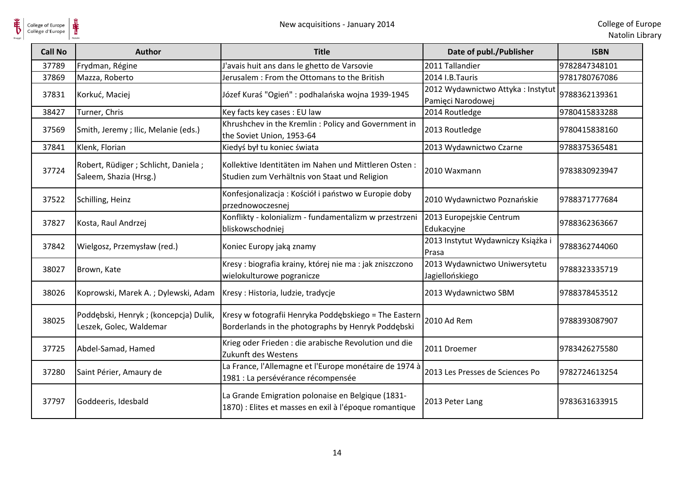| <b>Call No</b> | Author                                                           | <b>Title</b>                                                                                                | Date of publ./Publisher                                | <b>ISBN</b>   |
|----------------|------------------------------------------------------------------|-------------------------------------------------------------------------------------------------------------|--------------------------------------------------------|---------------|
| 37789          | Frydman, Régine                                                  | J'avais huit ans dans le ghetto de Varsovie                                                                 | 2011 Tallandier                                        | 9782847348101 |
| 37869          | Mazza, Roberto                                                   | Jerusalem : From the Ottomans to the British                                                                | 2014 I.B.Tauris                                        | 9781780767086 |
| 37831          | Korkuć, Maciej                                                   | Józef Kuraś "Ogień": podhalańska wojna 1939-1945                                                            | 2012 Wydawnictwo Attyka: Instytut<br>Pamięci Narodowej | 9788362139361 |
| 38427          | Turner, Chris                                                    | Key facts key cases : EU law                                                                                | 2014 Routledge                                         | 9780415833288 |
| 37569          | Smith, Jeremy; Ilic, Melanie (eds.)                              | Khrushchev in the Kremlin: Policy and Government in<br>the Soviet Union, 1953-64                            | 2013 Routledge                                         | 9780415838160 |
| 37841          | Klenk, Florian                                                   | Kiedyś był tu koniec świata                                                                                 | 2013 Wydawnictwo Czarne                                | 9788375365481 |
| 37724          | Robert, Rüdiger ; Schlicht, Daniela ;<br>Saleem, Shazia (Hrsg.)  | Kollektive Identitäten im Nahen und Mittleren Osten:<br>Studien zum Verhältnis von Staat und Religion       | 2010 Waxmann                                           | 9783830923947 |
| 37522          | Schilling, Heinz                                                 | Konfesjonalizacja: Kościół i państwo w Europie doby<br>przednowoczesnej                                     | 2010 Wydawnictwo Poznańskie                            | 9788371777684 |
| 37827          | Kosta, Raul Andrzej                                              | Konflikty - kolonializm - fundamentalizm w przestrzeni<br>bliskowschodniej                                  | 2013 Europejskie Centrum<br>Edukacyjne                 | 9788362363667 |
| 37842          | Wielgosz, Przemysław (red.)                                      | Koniec Europy jaką znamy                                                                                    | 2013 Instytut Wydawniczy Książka i<br>Prasa            | 9788362744060 |
| 38027          | Brown, Kate                                                      | Kresy : biografia krainy, której nie ma : jak zniszczono<br>wielokulturowe pogranicze                       | 2013 Wydawnictwo Uniwersytetu<br>Jagiellońskiego       | 9788323335719 |
| 38026          | Koprowski, Marek A.; Dylewski, Adam                              | Kresy: Historia, ludzie, tradycje                                                                           | 2013 Wydawnictwo SBM                                   | 9788378453512 |
| 38025          | Poddębski, Henryk; (koncepcja) Dulik,<br>Leszek, Golec, Waldemar | Kresy w fotografii Henryka Poddębskiego = The Eastern<br>Borderlands in the photographs by Henryk Poddębski | 2010 Ad Rem                                            | 9788393087907 |
| 37725          | Abdel-Samad, Hamed                                               | Krieg oder Frieden : die arabische Revolution und die<br>Zukunft des Westens                                | 2011 Droemer                                           | 9783426275580 |
| 37280          | Saint Périer, Amaury de                                          | La France, l'Allemagne et l'Europe monétaire de 1974 à<br>1981 : La persévérance récompensée                | 2013 Les Presses de Sciences Po                        | 9782724613254 |
| 37797          | Goddeeris, Idesbald                                              | La Grande Emigration polonaise en Belgique (1831-<br>1870) : Elites et masses en exil à l'époque romantique | 2013 Peter Lang                                        | 9783631633915 |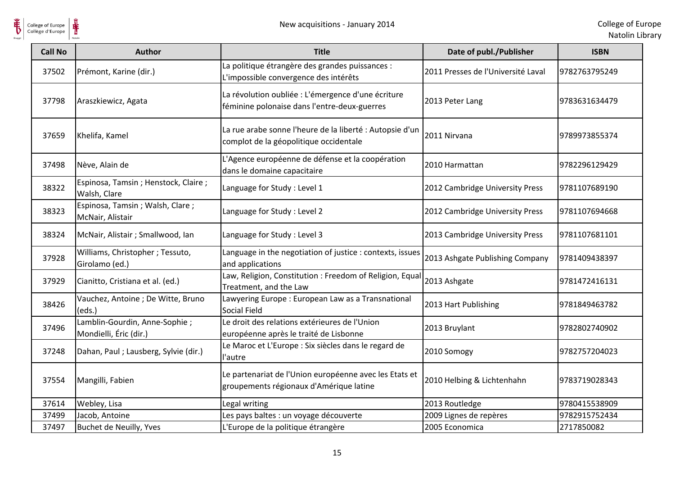

| <b>Call No</b> | <b>Author</b>                                           | <b>Title</b>                                                                                       | Date of publ./Publisher            | <b>ISBN</b>   |
|----------------|---------------------------------------------------------|----------------------------------------------------------------------------------------------------|------------------------------------|---------------|
| 37502          | Prémont, Karine (dir.)                                  | La politique étrangère des grandes puissances :<br>L'impossible convergence des intérêts           | 2011 Presses de l'Université Laval | 9782763795249 |
| 37798          | Araszkiewicz, Agata                                     | La révolution oubliée : L'émergence d'une écriture<br>féminine polonaise dans l'entre-deux-guerres | 2013 Peter Lang                    | 9783631634479 |
| 37659          | Khelifa, Kamel                                          | La rue arabe sonne l'heure de la liberté : Autopsie d'un<br>complot de la géopolitique occidentale | 2011 Nirvana                       | 9789973855374 |
| 37498          | Nève, Alain de                                          | L'Agence européenne de défense et la coopération<br>dans le domaine capacitaire                    | 2010 Harmattan                     | 9782296129429 |
| 38322          | Espinosa, Tamsin; Henstock, Claire;<br>Walsh, Clare     | Language for Study: Level 1                                                                        | 2012 Cambridge University Press    | 9781107689190 |
| 38323          | Espinosa, Tamsin; Walsh, Clare;<br>McNair, Alistair     | Language for Study : Level 2                                                                       | 2012 Cambridge University Press    | 9781107694668 |
| 38324          | McNair, Alistair ; Smallwood, Ian                       | Language for Study: Level 3                                                                        | 2013 Cambridge University Press    | 9781107681101 |
| 37928          | Williams, Christopher ; Tessuto,<br>Girolamo (ed.)      | Language in the negotiation of justice : contexts, issues<br>and applications                      | 2013 Ashgate Publishing Company    | 9781409438397 |
| 37929          | Cianitto, Cristiana et al. (ed.)                        | Law, Religion, Constitution : Freedom of Religion, Equal<br>Treatment, and the Law                 | 2013 Ashgate                       | 9781472416131 |
| 38426          | Vauchez, Antoine ; De Witte, Bruno<br>(eds.)            | Lawyering Europe : European Law as a Transnational<br>Social Field                                 | 2013 Hart Publishing               | 9781849463782 |
| 37496          | Lamblin-Gourdin, Anne-Sophie;<br>Mondielli, Éric (dir.) | Le droit des relations extérieures de l'Union<br>européenne après le traité de Lisbonne            | 2013 Bruylant                      | 9782802740902 |
| 37248          | Dahan, Paul; Lausberg, Sylvie (dir.)                    | Le Maroc et L'Europe : Six siècles dans le regard de<br>l'autre                                    | 2010 Somogy                        | 9782757204023 |
| 37554          | Mangilli, Fabien                                        | Le partenariat de l'Union européenne avec les Etats et<br>groupements régionaux d'Amérique latine  | 2010 Helbing & Lichtenhahn         | 9783719028343 |
| 37614          | Webley, Lisa                                            | Legal writing                                                                                      | 2013 Routledge                     | 9780415538909 |
| 37499          | Jacob, Antoine                                          | Les pays baltes : un voyage découverte                                                             | 2009 Lignes de repères             | 9782915752434 |
| 37497          | Buchet de Neuilly, Yves                                 | L'Europe de la politique étrangère                                                                 | 2005 Economica                     | 2717850082    |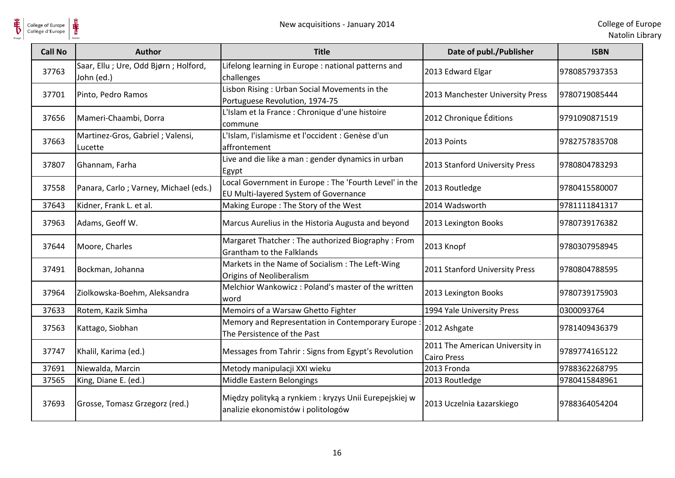

| <b>Call No</b> | <b>Author</b>                                        | <b>Title</b>                                                                                    | Date of publ./Publisher                               | <b>ISBN</b>   |
|----------------|------------------------------------------------------|-------------------------------------------------------------------------------------------------|-------------------------------------------------------|---------------|
| 37763          | Saar, Ellu ; Ure, Odd Bjørn ; Holford,<br>John (ed.) | Lifelong learning in Europe : national patterns and<br>challenges                               | 2013 Edward Elgar                                     | 9780857937353 |
| 37701          | Pinto, Pedro Ramos                                   | Lisbon Rising: Urban Social Movements in the<br>Portuguese Revolution, 1974-75                  | 2013 Manchester University Press                      | 9780719085444 |
| 37656          | Mameri-Chaambi, Dorra                                | L'Islam et la France : Chronique d'une histoire<br>commune                                      | 2012 Chronique Éditions                               | 9791090871519 |
| 37663          | Martinez-Gros, Gabriel; Valensi,<br>Lucette          | L'Islam, l'islamisme et l'occident : Genèse d'un<br>affrontement                                | 2013 Points                                           | 9782757835708 |
| 37807          | Ghannam, Farha                                       | Live and die like a man : gender dynamics in urban<br>Egypt                                     | 2013 Stanford University Press                        | 9780804783293 |
| 37558          | Panara, Carlo; Varney, Michael (eds.)                | Local Government in Europe : The 'Fourth Level' in the<br>EU Multi-layered System of Governance | 2013 Routledge                                        | 9780415580007 |
| 37643          | Kidner, Frank L. et al.                              | Making Europe: The Story of the West                                                            | 2014 Wadsworth                                        | 9781111841317 |
| 37963          | Adams, Geoff W.                                      | Marcus Aurelius in the Historia Augusta and beyond                                              | 2013 Lexington Books                                  | 9780739176382 |
| 37644          | Moore, Charles                                       | Margaret Thatcher: The authorized Biography: From<br>Grantham to the Falklands                  | 2013 Knopf                                            | 9780307958945 |
| 37491          | Bockman, Johanna                                     | Markets in the Name of Socialism : The Left-Wing<br><b>Origins of Neoliberalism</b>             | 2011 Stanford University Press                        | 9780804788595 |
| 37964          | Ziolkowska-Boehm, Aleksandra                         | Melchior Wankowicz: Poland's master of the written<br>word                                      | 2013 Lexington Books                                  | 9780739175903 |
| 37633          | Rotem, Kazik Simha                                   | Memoirs of a Warsaw Ghetto Fighter                                                              | 1994 Yale University Press                            | 0300093764    |
| 37563          | Kattago, Siobhan                                     | Memory and Representation in Contemporary Europe<br>The Persistence of the Past                 | 2012 Ashgate                                          | 9781409436379 |
| 37747          | Khalil, Karima (ed.)                                 | Messages from Tahrir: Signs from Egypt's Revolution                                             | 2011 The American University in<br><b>Cairo Press</b> | 9789774165122 |
| 37691          | Niewalda, Marcin                                     | Metody manipulacji XXI wieku                                                                    | 2013 Fronda                                           | 9788362268795 |
| 37565          | King, Diane E. (ed.)                                 | Middle Eastern Belongings                                                                       | 2013 Routledge                                        | 9780415848961 |
| 37693          | Grosse, Tomasz Grzegorz (red.)                       | Między polityką a rynkiem : kryzys Unii Eurepejskiej w<br>analizie ekonomistów i politologów    | 2013 Uczelnia Łazarskiego                             | 9788364054204 |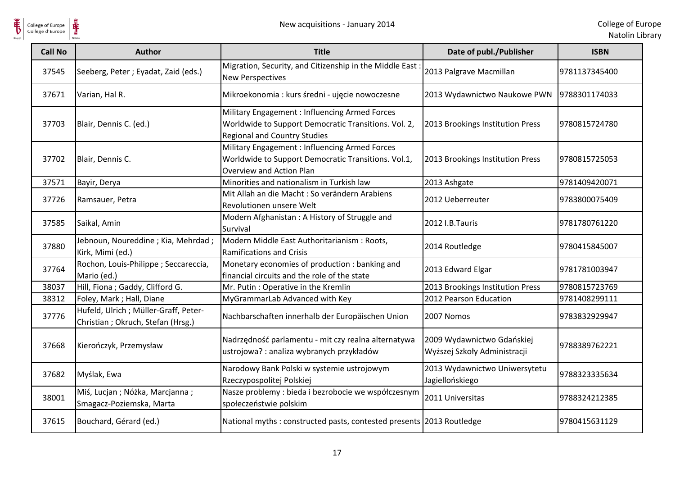

| College of Europe<br>Collège d'Europe | ⋕                                                                           | New acquisitions - January 2014                                                                                                               |                                                            | College of Eu<br>Natolin Lib |
|---------------------------------------|-----------------------------------------------------------------------------|-----------------------------------------------------------------------------------------------------------------------------------------------|------------------------------------------------------------|------------------------------|
| <b>Call No</b>                        | <b>Author</b>                                                               | <b>Title</b>                                                                                                                                  | Date of publ./Publisher                                    | <b>ISBN</b>                  |
| 37545                                 | Seeberg, Peter; Eyadat, Zaid (eds.)                                         | Migration, Security, and Citizenship in the Middle East:<br><b>New Perspectives</b>                                                           | 2013 Palgrave Macmillan                                    | 9781137345400                |
| 37671                                 | Varian, Hal R.                                                              | Mikroekonomia : kurs średni - ujęcie nowoczesne                                                                                               | 2013 Wydawnictwo Naukowe PWN                               | 9788301174033                |
| 37703                                 | Blair, Dennis C. (ed.)                                                      | Military Engagement : Influencing Armed Forces<br>Worldwide to Support Democratic Transitions. Vol. 2,<br><b>Regional and Country Studies</b> | 2013 Brookings Institution Press                           | 9780815724780                |
| 37702                                 | Blair, Dennis C.                                                            | Military Engagement: Influencing Armed Forces<br>Worldwide to Support Democratic Transitions. Vol.1,<br>Overview and Action Plan              | 2013 Brookings Institution Press                           | 9780815725053                |
| 37571                                 | Bayir, Derya                                                                | Minorities and nationalism in Turkish law                                                                                                     | 2013 Ashgate                                               | 9781409420071                |
| 37726                                 | Ramsauer, Petra                                                             | Mit Allah an die Macht : So verändern Arabiens<br>Revolutionen unsere Welt                                                                    | 2012 Ueberreuter                                           | 9783800075409                |
| 37585                                 | Saikal, Amin                                                                | Modern Afghanistan: A History of Struggle and<br>Survival                                                                                     | 2012 I.B.Tauris                                            | 9781780761220                |
| 37880                                 | Jebnoun, Noureddine; Kia, Mehrdad;<br>Kirk, Mimi (ed.)                      | Modern Middle East Authoritarianism : Roots,<br><b>Ramifications and Crisis</b>                                                               | 2014 Routledge                                             | 9780415845007                |
| 37764                                 | Rochon, Louis-Philippe; Seccareccia,<br>Mario (ed.)                         | Monetary economies of production : banking and<br>financial circuits and the role of the state                                                | 2013 Edward Elgar                                          | 9781781003947                |
| 38037                                 | Hill, Fiona ; Gaddy, Clifford G.                                            | Mr. Putin: Operative in the Kremlin                                                                                                           | 2013 Brookings Institution Press                           | 9780815723769                |
| 38312                                 | Foley, Mark ; Hall, Diane                                                   | MyGrammarLab Advanced with Key                                                                                                                | 2012 Pearson Education                                     | 9781408299111                |
| 37776                                 | Hufeld, Ulrich ; Müller-Graff, Peter-<br>Christian ; Okruch, Stefan (Hrsg.) | Nachbarschaften innerhalb der Europäischen Union                                                                                              | 2007 Nomos                                                 | 9783832929947                |
| 37668                                 | Kierończyk, Przemysław                                                      | Nadrzędność parlamentu - mit czy realna alternatywa<br>ustrojowa? : analiza wybranych przykładów                                              | 2009 Wydawnictwo Gdańskiej<br>Wyższej Szkoły Administracji | 9788389762221                |
| 37682                                 | Myślak, Ewa                                                                 | Narodowy Bank Polski w systemie ustrojowym<br>Rzeczypospolitej Polskiej                                                                       | 2013 Wydawnictwo Uniwersytetu<br>Jagiellońskiego           | 9788323335634                |
| 38001                                 | Miś, Lucjan; Nóżka, Marcjanna;<br>Smagacz-Poziemska, Marta                  | Nasze problemy : bieda i bezrobocie we współczesnym<br>społeczeństwie polskim                                                                 | 2011 Universitas                                           | 9788324212385                |
| 37615                                 | Bouchard, Gérard (ed.)                                                      | National myths: constructed pasts, contested presents 2013 Routledge                                                                          |                                                            | 9780415631129                |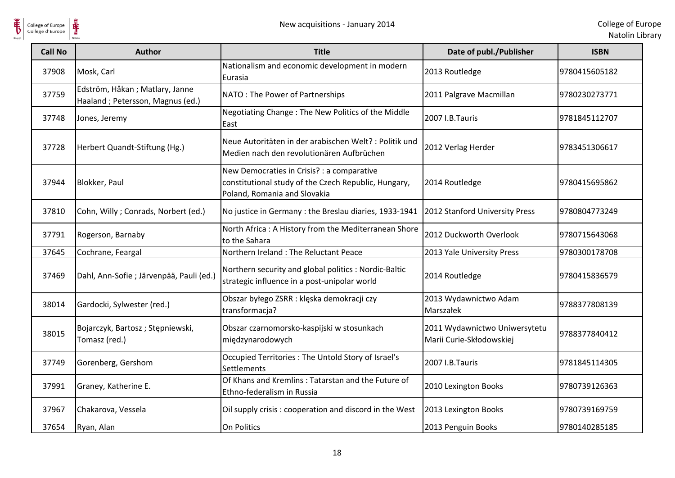

| <b>Call No</b> | <b>Author</b>                                                      | <b>Title</b>                                                                                                                       | Date of publ./Publisher                                   | <b>ISBN</b>   |
|----------------|--------------------------------------------------------------------|------------------------------------------------------------------------------------------------------------------------------------|-----------------------------------------------------------|---------------|
| 37908          | Mosk, Carl                                                         | Nationalism and economic development in modern<br>Eurasia                                                                          | 2013 Routledge                                            | 9780415605182 |
| 37759          | Edström, Håkan; Matlary, Janne<br>Haaland; Petersson, Magnus (ed.) | NATO: The Power of Partnerships                                                                                                    | 2011 Palgrave Macmillan                                   | 9780230273771 |
| 37748          | Jones, Jeremy                                                      | Negotiating Change: The New Politics of the Middle<br>East                                                                         | 2007 I.B.Tauris                                           | 9781845112707 |
| 37728          | Herbert Quandt-Stiftung (Hg.)                                      | Neue Autoritäten in der arabischen Welt? : Politik und<br>Medien nach den revolutionären Aufbrüchen                                | 2012 Verlag Herder                                        | 9783451306617 |
| 37944          | Blokker, Paul                                                      | New Democraties in Crisis? : a comparative<br>constitutional study of the Czech Republic, Hungary,<br>Poland, Romania and Slovakia | 2014 Routledge                                            | 9780415695862 |
| 37810          | Cohn, Willy; Conrads, Norbert (ed.)                                | No justice in Germany : the Breslau diaries, 1933-1941                                                                             | 2012 Stanford University Press                            | 9780804773249 |
| 37791          | Rogerson, Barnaby                                                  | North Africa: A History from the Mediterranean Shore<br>to the Sahara                                                              | 2012 Duckworth Overlook                                   | 9780715643068 |
| 37645          | Cochrane, Feargal                                                  | Northern Ireland: The Reluctant Peace                                                                                              | 2013 Yale University Press                                | 9780300178708 |
| 37469          | Dahl, Ann-Sofie ; Järvenpää, Pauli (ed.)                           | Northern security and global politics : Nordic-Baltic<br>strategic influence in a post-unipolar world                              | 2014 Routledge                                            | 9780415836579 |
| 38014          | Gardocki, Sylwester (red.)                                         | Obszar byłego ZSRR : klęska demokracji czy<br>transformacja?                                                                       | 2013 Wydawnictwo Adam<br>Marszałek                        | 9788377808139 |
| 38015          | Bojarczyk, Bartosz; Stępniewski,<br>Tomasz (red.)                  | Obszar czarnomorsko-kaspijski w stosunkach<br>międzynarodowych                                                                     | 2011 Wydawnictwo Uniwersytetu<br>Marii Curie-Skłodowskiej | 9788377840412 |
| 37749          | Gorenberg, Gershom                                                 | Occupied Territories : The Untold Story of Israel's<br>Settlements                                                                 | 2007 I.B.Tauris                                           | 9781845114305 |
| 37991          | Graney, Katherine E.                                               | Of Khans and Kremlins: Tatarstan and the Future of<br>Ethno-federalism in Russia                                                   | 2010 Lexington Books                                      | 9780739126363 |
| 37967          | Chakarova, Vessela                                                 | Oil supply crisis: cooperation and discord in the West                                                                             | 2013 Lexington Books                                      | 9780739169759 |
| 37654          | Ryan, Alan                                                         | On Politics                                                                                                                        | 2013 Penguin Books                                        | 9780140285185 |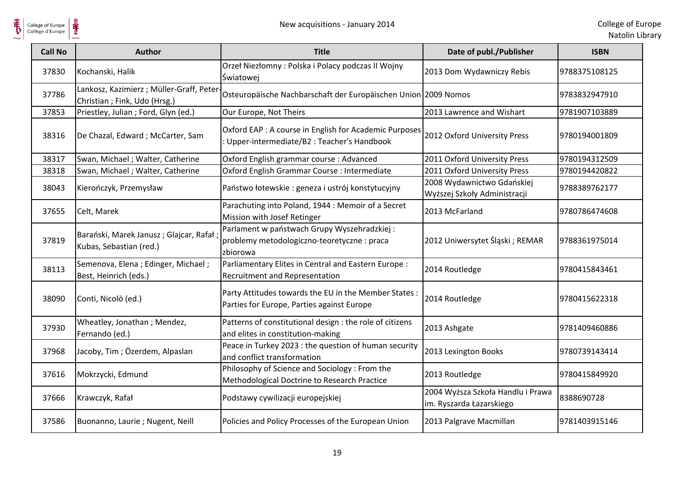

| <b>Call No</b> | <b>Author</b>                                                             | <b>Title</b>                                                                                           | Date of publ./Publisher                                       | <b>ISBN</b>   |
|----------------|---------------------------------------------------------------------------|--------------------------------------------------------------------------------------------------------|---------------------------------------------------------------|---------------|
| 37830          | Kochanski, Halik                                                          | Orzeł Niezłomny: Polska i Polacy podczas II Wojny<br>Światowej                                         | 2013 Dom Wydawniczy Rebis                                     | 9788375108125 |
| 37786          | Lankosz, Kazimierz; Müller-Graff, Peter-<br>Christian ; Fink, Udo (Hrsg.) | Osteuropäische Nachbarschaft der Europäischen Union 2009 Nomos                                         |                                                               | 9783832947910 |
| 37853          | Priestley, Julian ; Ford, Glyn (ed.)                                      | Our Europe, Not Theirs                                                                                 | 2013 Lawrence and Wishart                                     | 9781907103889 |
| 38316          | De Chazal, Edward ; McCarter, Sam                                         | Oxford EAP : A course in English for Academic Purposes<br>: Upper-intermediate/B2 : Teacher's Handbook | 2012 Oxford University Press                                  | 9780194001809 |
| 38317          | Swan, Michael; Walter, Catherine                                          | Oxford English grammar course : Advanced                                                               | 2011 Oxford University Press                                  | 9780194312509 |
| 38318          | Swan, Michael ; Walter, Catherine                                         | Oxford English Grammar Course : Intermediate                                                           | 2011 Oxford University Press                                  | 9780194420822 |
| 38043          | Kierończyk, Przemysław                                                    | Państwo łotewskie: geneza i ustrój konstytucyjny                                                       | 2008 Wydawnictwo Gdańskiej<br>Wyższej Szkoły Administracji    | 9788389762177 |
| 37655          | Celt, Marek                                                               | Parachuting into Poland, 1944 : Memoir of a Secret<br>Mission with Josef Retinger                      | 2013 McFarland                                                | 9780786474608 |
| 37819          | Barański, Marek Janusz; Glajcar, Rafał<br>Kubas, Sebastian (red.)         | Parlament w państwach Grupy Wyszehradzkiej:<br>problemy metodologiczno-teoretyczne : praca<br>zbiorowa | 2012 Uniwersytet Śląski; REMAR                                | 9788361975014 |
| 38113          | Semenova, Elena ; Edinger, Michael ;<br>Best, Heinrich (eds.)             | Parliamentary Elites in Central and Eastern Europe :<br>Recruitment and Representation                 | 2014 Routledge                                                | 9780415843461 |
| 38090          | Conti, Nicolò (ed.)                                                       | Party Attitudes towards the EU in the Member States :<br>Parties for Europe, Parties against Europe    | 2014 Routledge                                                | 9780415622318 |
| 37930          | Wheatley, Jonathan; Mendez,<br>Fernando (ed.)                             | Patterns of constitutional design : the role of citizens<br>and elites in constitution-making          | 2013 Ashgate                                                  | 9781409460886 |
| 37968          | Jacoby, Tim; Özerdem, Alpaslan                                            | Peace in Turkey 2023 : the question of human security<br>and conflict transformation                   | 2013 Lexington Books                                          | 9780739143414 |
| 37616          | Mokrzycki, Edmund                                                         | Philosophy of Science and Sociology: From the<br>Methodological Doctrine to Research Practice          | 2013 Routledge                                                | 9780415849920 |
| 37666          | Krawczyk, Rafał                                                           | Podstawy cywilizacji europejskiej                                                                      | 2004 Wyższa Szkoła Handlu i Prawa<br>im. Ryszarda Łazarskiego | 8388690728    |
| 37586          | Buonanno, Laurie ; Nugent, Neill                                          | Policies and Policy Processes of the European Union                                                    | 2013 Palgrave Macmillan                                       | 9781403915146 |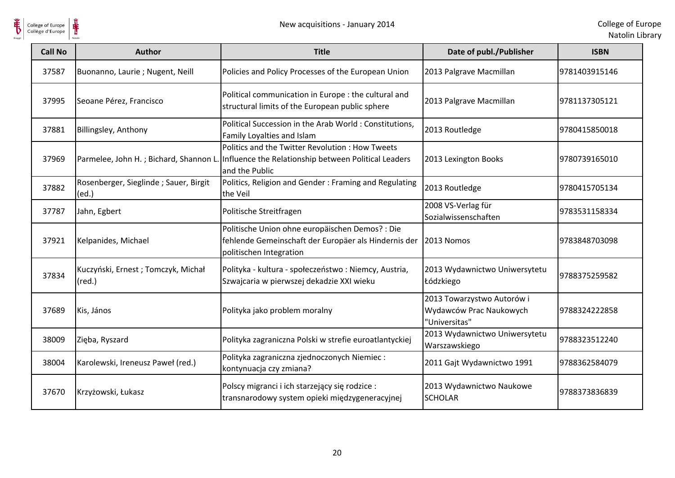

| <b>Call No</b> | <b>Author</b>                                         | <b>Title</b>                                                                                                                       | Date of publ./Publisher                                                | <b>ISBN</b>   |
|----------------|-------------------------------------------------------|------------------------------------------------------------------------------------------------------------------------------------|------------------------------------------------------------------------|---------------|
| 37587          | Buonanno, Laurie ; Nugent, Neill                      | Policies and Policy Processes of the European Union                                                                                | 2013 Palgrave Macmillan                                                | 9781403915146 |
| 37995          | Seoane Pérez, Francisco                               | Political communication in Europe : the cultural and<br>structural limits of the European public sphere                            | 2013 Palgrave Macmillan                                                | 9781137305121 |
| 37881          | Billingsley, Anthony                                  | Political Succession in the Arab World: Constitutions,<br>Family Loyalties and Islam                                               | 2013 Routledge                                                         | 9780415850018 |
| 37969          | Parmelee, John H.; Bichard, Shannon L.                | Politics and the Twitter Revolution: How Tweets<br>Influence the Relationship between Political Leaders<br>and the Public          | 2013 Lexington Books                                                   | 9780739165010 |
| 37882          | Rosenberger, Sieglinde; Sauer, Birgit<br>(ed.)        | Politics, Religion and Gender: Framing and Regulating<br>the Veil                                                                  | 2013 Routledge                                                         | 9780415705134 |
| 37787          | Jahn, Egbert                                          | Politische Streitfragen                                                                                                            | 2008 VS-Verlag für<br>Sozialwissenschaften                             | 9783531158334 |
| 37921          | Kelpanides, Michael                                   | Politische Union ohne europäischen Demos? : Die<br>fehlende Gemeinschaft der Europäer als Hindernis der<br>politischen Integration | 2013 Nomos                                                             | 9783848703098 |
| 37834          | Kuczyński, Ernest; Tomczyk, Michał<br>$(\text{red.})$ | Polityka - kultura - społeczeństwo : Niemcy, Austria,<br>Szwajcaria w pierwszej dekadzie XXI wieku                                 | 2013 Wydawnictwo Uniwersytetu<br>Łódzkiego                             | 9788375259582 |
| 37689          | Kis, János                                            | Polityka jako problem moralny                                                                                                      | 2013 Towarzystwo Autorów i<br>Wydawców Prac Naukowych<br>"Universitas" | 9788324222858 |
| 38009          | Zięba, Ryszard                                        | Polityka zagraniczna Polski w strefie euroatlantyckiej                                                                             | 2013 Wydawnictwo Uniwersytetu<br>Warszawskiego                         | 9788323512240 |
| 38004          | Karolewski, Ireneusz Paweł (red.)                     | Polityka zagraniczna zjednoczonych Niemiec:<br>kontynuacja czy zmiana?                                                             | 2011 Gajt Wydawnictwo 1991                                             | 9788362584079 |
| 37670          | Krzyżowski, Łukasz                                    | Polscy migranci i ich starzejący się rodzice :<br>transnarodowy system opieki międzygeneracyjnej                                   | 2013 Wydawnictwo Naukowe<br><b>SCHOLAR</b>                             | 9788373836839 |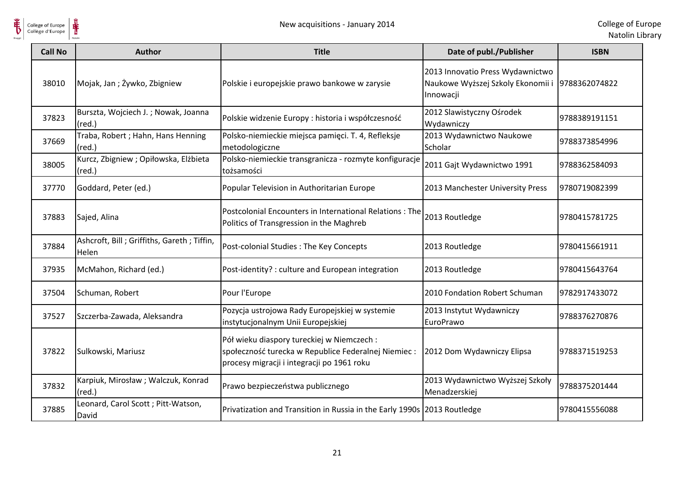

| <b>Call No</b> | <b>Author</b>                                            | <b>Title</b>                                                                                                                                    | Date of publ./Publisher                                                                          | <b>ISBN</b>   |
|----------------|----------------------------------------------------------|-------------------------------------------------------------------------------------------------------------------------------------------------|--------------------------------------------------------------------------------------------------|---------------|
| 38010          | Mojak, Jan; Żywko, Zbigniew                              | Polskie i europejskie prawo bankowe w zarysie                                                                                                   | 2013 Innovatio Press Wydawnictwo<br>Naukowe Wyższej Szkoly Ekonomii i 9788362074822<br>Innowacji |               |
| 37823          | Burszta, Wojciech J.; Nowak, Joanna<br>$(\text{red.})$   | Polskie widzenie Europy : historia i współczesność                                                                                              | 2012 Slawistyczny Ośrodek<br>Wydawniczy                                                          | 9788389191151 |
| 37669          | Traba, Robert; Hahn, Hans Henning<br>$(\text{red.})$     | Polsko-niemieckie miejsca pamięci. T. 4, Refleksje<br>metodologiczne                                                                            | 2013 Wydawnictwo Naukowe<br>Scholar                                                              | 9788373854996 |
| 38005          | Kurcz, Zbigniew ; Opiłowska, Elżbieta<br>$(\text{red.})$ | Polsko-niemieckie transgranicza - rozmyte konfiguracje<br>tożsamości                                                                            | 2011 Gajt Wydawnictwo 1991                                                                       | 9788362584093 |
| 37770          | Goddard, Peter (ed.)                                     | Popular Television in Authoritarian Europe                                                                                                      | 2013 Manchester University Press                                                                 | 9780719082399 |
| 37883          | Sajed, Alina                                             | Postcolonial Encounters in International Relations: The<br>Politics of Transgression in the Maghreb                                             | 2013 Routledge                                                                                   | 9780415781725 |
| 37884          | Ashcroft, Bill; Griffiths, Gareth; Tiffin,<br>Helen      | Post-colonial Studies: The Key Concepts                                                                                                         | 2013 Routledge                                                                                   | 9780415661911 |
| 37935          | McMahon, Richard (ed.)                                   | Post-identity? : culture and European integration                                                                                               | 2013 Routledge                                                                                   | 9780415643764 |
| 37504          | Schuman, Robert                                          | Pour l'Europe                                                                                                                                   | 2010 Fondation Robert Schuman                                                                    | 9782917433072 |
| 37527          | Szczerba-Zawada, Aleksandra                              | Pozycja ustrojowa Rady Europejskiej w systemie<br>instytucjonalnym Unii Europejskiej                                                            | 2013 Instytut Wydawniczy<br>EuroPrawo                                                            | 9788376270876 |
| 37822          | Sulkowski, Mariusz                                       | Pół wieku diaspory tureckiej w Niemczech:<br>społeczność turecka w Republice Federalnej Niemiec :<br>procesy migracji i integracji po 1961 roku | 2012 Dom Wydawniczy Elipsa                                                                       | 9788371519253 |
| 37832          | Karpiuk, Mirosław ; Walczuk, Konrad<br>$(\text{red.})$   | Prawo bezpieczeństwa publicznego                                                                                                                | 2013 Wydawnictwo Wyższej Szkoły<br>Menadzerskiej                                                 | 9788375201444 |
| 37885          | Leonard, Carol Scott; Pitt-Watson,<br>David              | Privatization and Transition in Russia in the Early 1990s 2013 Routledge                                                                        |                                                                                                  | 9780415556088 |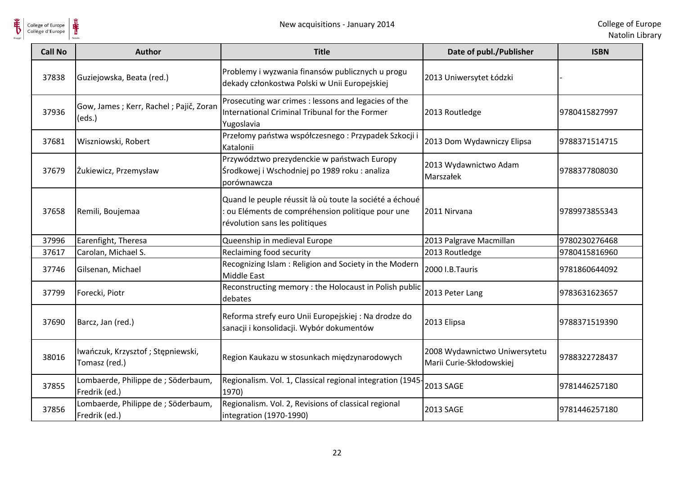

| <b>Call No</b> | <b>Author</b>                                        | <b>Title</b>                                                                                                                                 | Date of publ./Publisher                                   | <b>ISBN</b>   |
|----------------|------------------------------------------------------|----------------------------------------------------------------------------------------------------------------------------------------------|-----------------------------------------------------------|---------------|
| 37838          | Guziejowska, Beata (red.)                            | Problemy i wyzwania finansów publicznych u progu<br>dekady członkostwa Polski w Unii Europejskiej                                            | 2013 Uniwersytet Łódzki                                   |               |
| 37936          | Gow, James; Kerr, Rachel; Pajič, Zoran<br>(eds.)     | Prosecuting war crimes : lessons and legacies of the<br>International Criminal Tribunal for the Former<br>Yugoslavia                         | 2013 Routledge                                            | 9780415827997 |
| 37681          | Wiszniowski, Robert                                  | Przełomy państwa współczesnego: Przypadek Szkocji i<br>Katalonii                                                                             | 2013 Dom Wydawniczy Elipsa                                | 9788371514715 |
| 37679          | Żukiewicz, Przemysław                                | Przywództwo prezydenckie w państwach Europy<br>Środkowej i Wschodniej po 1989 roku : analiza<br>porównawcza                                  | 2013 Wydawnictwo Adam<br>Marszałek                        | 9788377808030 |
| 37658          | Remili, Boujemaa                                     | Quand le peuple réussit là où toute la société a échoué<br>ou Eléments de compréhension politique pour une<br>révolution sans les politiques | 2011 Nirvana                                              | 9789973855343 |
| 37996          | Earenfight, Theresa                                  | Queenship in medieval Europe                                                                                                                 | 2013 Palgrave Macmillan                                   | 9780230276468 |
| 37617          | Carolan, Michael S.                                  | Reclaiming food security                                                                                                                     | 2013 Routledge                                            | 9780415816960 |
| 37746          | Gilsenan, Michael                                    | Recognizing Islam: Religion and Society in the Modern<br><b>Middle East</b>                                                                  | 2000 I.B.Tauris                                           | 9781860644092 |
| 37799          | Forecki, Piotr                                       | Reconstructing memory : the Holocaust in Polish public<br>debates                                                                            | 2013 Peter Lang                                           | 9783631623657 |
| 37690          | Barcz, Jan (red.)                                    | Reforma strefy euro Unii Europejskiej : Na drodze do<br>sanacji i konsolidacji. Wybór dokumentów                                             | 2013 Elipsa                                               | 9788371519390 |
| 38016          | Iwańczuk, Krzysztof; Stępniewski,<br>Tomasz (red.)   | Region Kaukazu w stosunkach międzynarodowych                                                                                                 | 2008 Wydawnictwo Uniwersytetu<br>Marii Curie-Skłodowskiej | 9788322728437 |
| 37855          | Lombaerde, Philippe de ; Söderbaum,<br>Fredrik (ed.) | Regionalism. Vol. 1, Classical regional integration (1945-<br>1970)                                                                          | <b>2013 SAGE</b>                                          | 9781446257180 |
| 37856          | Lombaerde, Philippe de ; Söderbaum,<br>Fredrik (ed.) | Regionalism. Vol. 2, Revisions of classical regional<br>integration (1970-1990)                                                              | 2013 SAGE                                                 | 9781446257180 |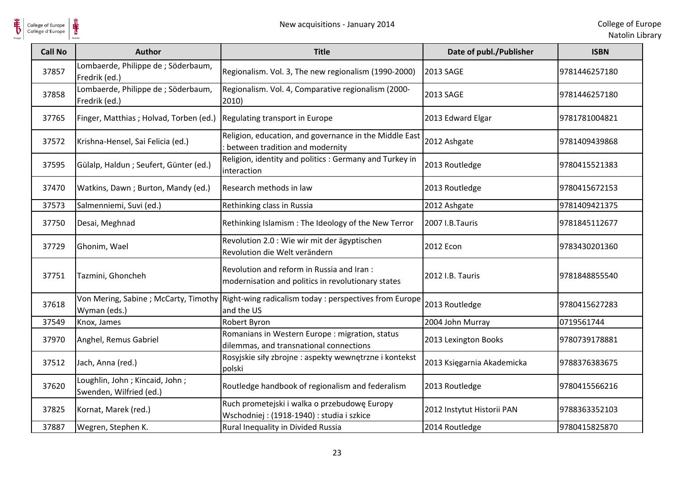$\frac{1}{\frac{1}{\sqrt{2}}}}$ 

| <b>Call No</b> | Author                                                      | <b>Title</b>                                                                                    | Date of publ./Publisher    | <b>ISBN</b>   |
|----------------|-------------------------------------------------------------|-------------------------------------------------------------------------------------------------|----------------------------|---------------|
| 37857          | Lombaerde, Philippe de ; Söderbaum,<br>Fredrik (ed.)        | Regionalism. Vol. 3, The new regionalism (1990-2000)                                            | 2013 SAGE                  | 9781446257180 |
| 37858          | Lombaerde, Philippe de ; Söderbaum,<br>Fredrik (ed.)        | Regionalism. Vol. 4, Comparative regionalism (2000-<br>2010)                                    | 2013 SAGE                  | 9781446257180 |
| 37765          | Finger, Matthias ; Holvad, Torben (ed.)                     | Regulating transport in Europe                                                                  | 2013 Edward Elgar          | 9781781004821 |
| 37572          | Krishna-Hensel, Sai Felicia (ed.)                           | Religion, education, and governance in the Middle East<br>: between tradition and modernity     | 2012 Ashgate               | 9781409439868 |
| 37595          | Gülalp, Haldun; Seufert, Günter (ed.)                       | Religion, identity and politics : Germany and Turkey in<br>interaction                          | 2013 Routledge             | 9780415521383 |
| 37470          | Watkins, Dawn; Burton, Mandy (ed.)                          | Research methods in law                                                                         | 2013 Routledge             | 9780415672153 |
| 37573          | Salmenniemi, Suvi (ed.)                                     | Rethinking class in Russia                                                                      | 2012 Ashgate               | 9781409421375 |
| 37750          | Desai, Meghnad                                              | Rethinking Islamism : The Ideology of the New Terror                                            | 2007 I.B.Tauris            | 9781845112677 |
| 37729          | Ghonim, Wael                                                | Revolution 2.0 : Wie wir mit der ägyptischen<br>Revolution die Welt verändern                   | 2012 Econ                  | 9783430201360 |
| 37751          | Tazmini, Ghoncheh                                           | Revolution and reform in Russia and Iran:<br>modernisation and politics in revolutionary states | 2012 I.B. Tauris           | 9781848855540 |
| 37618          | Von Mering, Sabine; McCarty, Timothy<br>Wyman (eds.)        | Right-wing radicalism today : perspectives from Europe<br>and the US                            | 2013 Routledge             | 9780415627283 |
| 37549          | Knox, James                                                 | Robert Byron                                                                                    | 2004 John Murray           | 0719561744    |
| 37970          | Anghel, Remus Gabriel                                       | Romanians in Western Europe : migration, status<br>dilemmas, and transnational connections      | 2013 Lexington Books       | 9780739178881 |
| 37512          | Jach, Anna (red.)                                           | Rosyjskie siły zbrojne : aspekty wewnętrzne i kontekst<br>polski                                | 2013 Księgarnia Akademicka | 9788376383675 |
| 37620          | Loughlin, John ; Kincaid, John ;<br>Swenden, Wilfried (ed.) | Routledge handbook of regionalism and federalism                                                | 2013 Routledge             | 9780415566216 |
| 37825          | Kornat, Marek (red.)                                        | Ruch prometejski i walka o przebudowę Europy<br>Wschodniej: (1918-1940): studia i szkice        | 2012 Instytut Historii PAN | 9788363352103 |
| 37887          | Wegren, Stephen K.                                          | Rural Inequality in Divided Russia                                                              | 2014 Routledge             | 9780415825870 |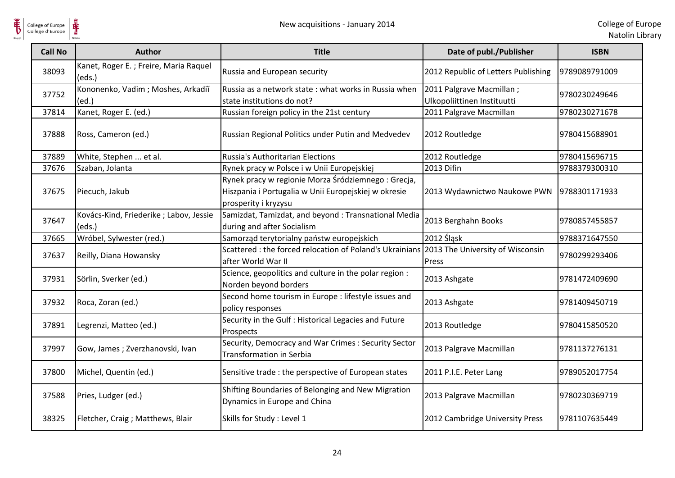

| <b>Call No</b> | <b>Author</b>                                     | <b>Title</b>                                                                                                                       | Date of publ./Publisher                                 | <b>ISBN</b>   |
|----------------|---------------------------------------------------|------------------------------------------------------------------------------------------------------------------------------------|---------------------------------------------------------|---------------|
| 38093          | Kanet, Roger E.; Freire, Maria Raquel<br>(eds.)   | Russia and European security                                                                                                       | 2012 Republic of Letters Publishing                     | 9789089791009 |
| 37752          | Kononenko, Vadim; Moshes, Arkadiĭ<br>(ed.)        | Russia as a network state: what works in Russia when<br>state institutions do not?                                                 | 2011 Palgrave Macmillan;<br>Ulkopoliittinen Instituutti | 9780230249646 |
| 37814          | Kanet, Roger E. (ed.)                             | Russian foreign policy in the 21st century                                                                                         | 2011 Palgrave Macmillan                                 | 9780230271678 |
| 37888          | Ross, Cameron (ed.)                               | Russian Regional Politics under Putin and Medvedev                                                                                 | 2012 Routledge                                          | 9780415688901 |
| 37889          | White, Stephen  et al.                            | <b>Russia's Authoritarian Elections</b>                                                                                            | 2012 Routledge                                          | 9780415696715 |
| 37676          | Szaban, Jolanta                                   | Rynek pracy w Polsce i w Unii Europejskiej                                                                                         | 2013 Difin                                              | 9788379300310 |
| 37675          | Piecuch, Jakub                                    | Rynek pracy w regionie Morza Śródziemnego: Grecja,<br>Hiszpania i Portugalia w Unii Europejskiej w okresie<br>prosperity i kryzysu | 2013 Wydawnictwo Naukowe PWN                            | 9788301171933 |
| 37647          | Kovács-Kind, Friederike ; Labov, Jessie<br>(eds.) | Samizdat, Tamizdat, and beyond: Transnational Media<br>during and after Socialism                                                  | 2013 Berghahn Books                                     | 9780857455857 |
| 37665          | Wróbel, Sylwester (red.)                          | Samorząd terytorialny państw europejskich                                                                                          | 2012 Śląsk                                              | 9788371647550 |
| 37637          | Reilly, Diana Howansky                            | Scattered : the forced relocation of Poland's Ukrainians 2013 The University of Wisconsin<br>after World War II                    | Press                                                   | 9780299293406 |
| 37931          | Sörlin, Sverker (ed.)                             | Science, geopolitics and culture in the polar region :<br>Norden beyond borders                                                    | 2013 Ashgate                                            | 9781472409690 |
| 37932          | Roca, Zoran (ed.)                                 | Second home tourism in Europe : lifestyle issues and<br>policy responses                                                           | 2013 Ashgate                                            | 9781409450719 |
| 37891          | Legrenzi, Matteo (ed.)                            | Security in the Gulf : Historical Legacies and Future<br>Prospects                                                                 | 2013 Routledge                                          | 9780415850520 |
| 37997          | Gow, James; Zverzhanovski, Ivan                   | Security, Democracy and War Crimes : Security Sector<br><b>Transformation in Serbia</b>                                            | 2013 Palgrave Macmillan                                 | 9781137276131 |
| 37800          | Michel, Quentin (ed.)                             | Sensitive trade: the perspective of European states                                                                                | 2011 P.I.E. Peter Lang                                  | 9789052017754 |
| 37588          | Pries, Ludger (ed.)                               | Shifting Boundaries of Belonging and New Migration<br>Dynamics in Europe and China                                                 | 2013 Palgrave Macmillan                                 | 9780230369719 |
| 38325          | Fletcher, Craig ; Matthews, Blair                 | Skills for Study : Level 1                                                                                                         | 2012 Cambridge University Press                         | 9781107635449 |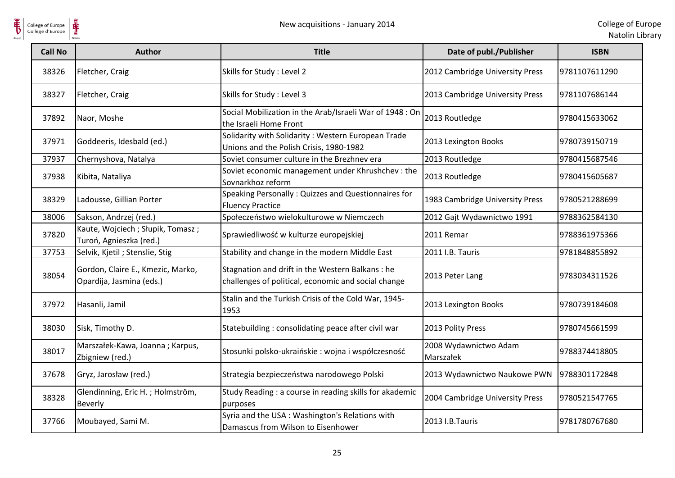

| <b>Call No</b> | <b>Author</b>                                                 | <b>Title</b>                                                                                           | Date of publ./Publisher            | <b>ISBN</b>   |
|----------------|---------------------------------------------------------------|--------------------------------------------------------------------------------------------------------|------------------------------------|---------------|
| 38326          | Fletcher, Craig                                               | Skills for Study : Level 2                                                                             | 2012 Cambridge University Press    | 9781107611290 |
| 38327          | Fletcher, Craig                                               | Skills for Study: Level 3                                                                              | 2013 Cambridge University Press    | 9781107686144 |
| 37892          | Naor, Moshe                                                   | Social Mobilization in the Arab/Israeli War of 1948 : On<br>the Israeli Home Front                     | 2013 Routledge                     | 9780415633062 |
| 37971          | Goddeeris, Idesbald (ed.)                                     | Solidarity with Solidarity: Western European Trade<br>Unions and the Polish Crisis, 1980-1982          | 2013 Lexington Books               | 9780739150719 |
| 37937          | Chernyshova, Natalya                                          | Soviet consumer culture in the Brezhnev era                                                            | 2013 Routledge                     | 9780415687546 |
| 37938          | Kibita, Nataliya                                              | Soviet economic management under Khrushchev : the<br>Sovnarkhoz reform                                 | 2013 Routledge                     | 9780415605687 |
| 38329          | Ladousse, Gillian Porter                                      | Speaking Personally: Quizzes and Questionnaires for<br><b>Fluency Practice</b>                         | 1983 Cambridge University Press    | 9780521288699 |
| 38006          | Sakson, Andrzej (red.)                                        | Społeczeństwo wielokulturowe w Niemczech                                                               | 2012 Gajt Wydawnictwo 1991         | 9788362584130 |
| 37820          | Kaute, Wojciech; Słupik, Tomasz;<br>Turoń, Agnieszka (red.)   | Sprawiedliwość w kulturze europejskiej                                                                 | 2011 Remar                         | 9788361975366 |
| 37753          | Selvik, Kjetil ; Stenslie, Stig                               | Stability and change in the modern Middle East                                                         | 2011 I.B. Tauris                   | 9781848855892 |
| 38054          | Gordon, Claire E., Kmezic, Marko,<br>Opardija, Jasmina (eds.) | Stagnation and drift in the Western Balkans: he<br>challenges of political, economic and social change | 2013 Peter Lang                    | 9783034311526 |
| 37972          | Hasanli, Jamil                                                | Stalin and the Turkish Crisis of the Cold War, 1945-<br>1953                                           | 2013 Lexington Books               | 9780739184608 |
| 38030          | Sisk, Timothy D.                                              | Statebuilding: consolidating peace after civil war                                                     | 2013 Polity Press                  | 9780745661599 |
| 38017          | Marszałek-Kawa, Joanna; Karpus,<br>Zbigniew (red.)            | Stosunki polsko-ukraińskie: wojna i współczesność                                                      | 2008 Wydawnictwo Adam<br>Marszałek | 9788374418805 |
| 37678          | Gryz, Jarosław (red.)                                         | Strategia bezpieczeństwa narodowego Polski                                                             | 2013 Wydawnictwo Naukowe PWN       | 9788301172848 |
| 38328          | Glendinning, Eric H.; Holmström,<br><b>Beverly</b>            | Study Reading : a course in reading skills for akademic<br>purposes                                    | 2004 Cambridge University Press    | 9780521547765 |
| 37766          | Moubayed, Sami M.                                             | Syria and the USA: Washington's Relations with<br>Damascus from Wilson to Eisenhower                   | 2013 I.B.Tauris                    | 9781780767680 |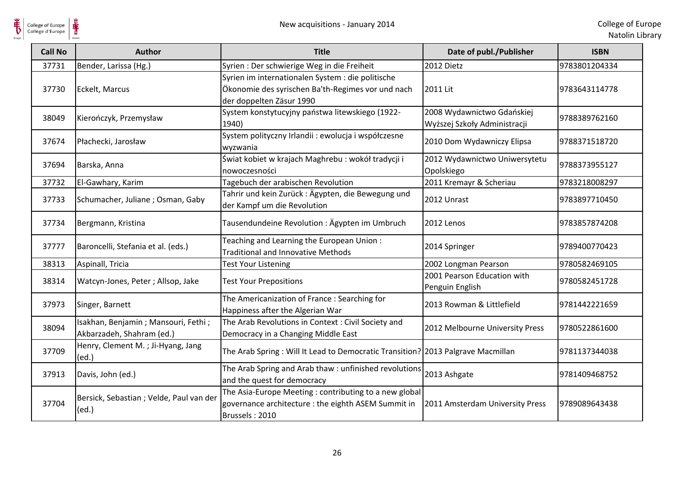| <b>Call No</b> | <b>Author</b>                                                    | <b>Title</b>                                                                                                                       | Date of publ./Publisher                                    | <b>ISBN</b>   |
|----------------|------------------------------------------------------------------|------------------------------------------------------------------------------------------------------------------------------------|------------------------------------------------------------|---------------|
| 37731          | Bender, Larissa (Hg.)                                            | Syrien : Der schwierige Weg in die Freiheit                                                                                        | 2012 Dietz                                                 | 9783801204334 |
| 37730          | Eckelt, Marcus                                                   | Syrien im internationalen System : die politische<br>Ökonomie des syrischen Ba'th-Regimes vor und nach<br>der doppelten Zäsur 1990 | 2011 Lit                                                   | 9783643114778 |
| 38049          | Kierończyk, Przemysław                                           | System konstytucyjny państwa litewskiego (1922-<br>1940)                                                                           | 2008 Wydawnictwo Gdańskiej<br>Wyższej Szkoły Administracji | 9788389762160 |
| 37674          | Płachecki, Jarosław                                              | System polityczny Irlandii : ewolucja i współczesne<br>wyzwania                                                                    | 2010 Dom Wydawniczy Elipsa                                 | 9788371518720 |
| 37694          | Barska, Anna                                                     | Świat kobiet w krajach Maghrebu: wokół tradycji i<br>nowoczesności                                                                 | 2012 Wydawnictwo Uniwersytetu<br>Opolskiego                | 9788373955127 |
| 37732          | El-Gawhary, Karim                                                | Tagebuch der arabischen Revolution                                                                                                 | 2011 Kremayr & Scheriau                                    | 9783218008297 |
| 37733          | Schumacher, Juliane; Osman, Gaby                                 | Tahrir und kein Zurück: Ägypten, die Bewegung und<br>der Kampf um die Revolution                                                   | 2012 Unrast                                                | 9783897710450 |
| 37734          | Bergmann, Kristina                                               | Tausendundeine Revolution: Ägypten im Umbruch                                                                                      | 2012 Lenos                                                 | 9783857874208 |
| 37777          | Baroncelli, Stefania et al. (eds.)                               | Teaching and Learning the European Union:<br><b>Traditional and Innovative Methods</b>                                             | 2014 Springer                                              | 9789400770423 |
| 38313          | Aspinall, Tricia                                                 | <b>Test Your Listening</b>                                                                                                         | 2002 Longman Pearson                                       | 9780582469105 |
| 38314          | Watcyn-Jones, Peter; Allsop, Jake                                | <b>Test Your Prepositions</b>                                                                                                      | 2001 Pearson Education with<br>Penguin English             | 9780582451728 |
| 37973          | Singer, Barnett                                                  | The Americanization of France: Searching for<br>Happiness after the Algerian War                                                   | 2013 Rowman & Littlefield                                  | 9781442221659 |
| 38094          | Isakhan, Benjamin; Mansouri, Fethi;<br>Akbarzadeh, Shahram (ed.) | The Arab Revolutions in Context: Civil Society and<br>Democracy in a Changing Middle East                                          | 2012 Melbourne University Press                            | 9780522861600 |
| 37709          | Henry, Clement M.; Ji-Hyang, Jang<br>(ed.)                       | The Arab Spring: Will It Lead to Democratic Transition? 2013 Palgrave Macmillan                                                    |                                                            | 9781137344038 |
| 37913          | Davis, John (ed.)                                                | The Arab Spring and Arab thaw : unfinished revolutions<br>and the quest for democracy                                              | 2013 Ashgate                                               | 9781409468752 |
| 37704          | Bersick, Sebastian ; Velde, Paul van der<br>(ed.)                | The Asia-Europe Meeting: contributing to a new global<br>governance architecture : the eighth ASEM Summit in<br>Brussels: 2010     | 2011 Amsterdam University Press                            | 9789089643438 |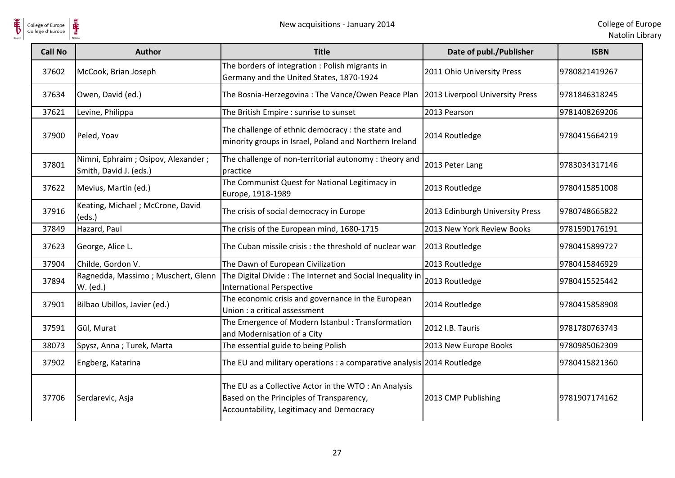

| <b>Call No</b> | <b>Author</b>                                                | <b>Title</b>                                                                                                                                 | Date of publ./Publisher         | <b>ISBN</b>   |
|----------------|--------------------------------------------------------------|----------------------------------------------------------------------------------------------------------------------------------------------|---------------------------------|---------------|
| 37602          | McCook, Brian Joseph                                         | The borders of integration: Polish migrants in<br>Germany and the United States, 1870-1924                                                   | 2011 Ohio University Press      | 9780821419267 |
| 37634          | Owen, David (ed.)                                            | The Bosnia-Herzegovina: The Vance/Owen Peace Plan                                                                                            | 2013 Liverpool University Press | 9781846318245 |
| 37621          | Levine, Philippa                                             | The British Empire : sunrise to sunset                                                                                                       | 2013 Pearson                    | 9781408269206 |
| 37900          | Peled, Yoav                                                  | The challenge of ethnic democracy : the state and<br>minority groups in Israel, Poland and Northern Ireland                                  | 2014 Routledge                  | 9780415664219 |
| 37801          | Nimni, Ephraim; Osipov, Alexander;<br>Smith, David J. (eds.) | The challenge of non-territorial autonomy: theory and<br>practice                                                                            | 2013 Peter Lang                 | 9783034317146 |
| 37622          | Mevius, Martin (ed.)                                         | The Communist Quest for National Legitimacy in<br>Europe, 1918-1989                                                                          | 2013 Routledge                  | 9780415851008 |
| 37916          | Keating, Michael ; McCrone, David<br>(eds.)                  | The crisis of social democracy in Europe                                                                                                     | 2013 Edinburgh University Press | 9780748665822 |
| 37849          | Hazard, Paul                                                 | The crisis of the European mind, 1680-1715                                                                                                   | 2013 New York Review Books      | 9781590176191 |
| 37623          | George, Alice L.                                             | The Cuban missile crisis: the threshold of nuclear war                                                                                       | 2013 Routledge                  | 9780415899727 |
| 37904          | Childe, Gordon V.                                            | The Dawn of European Civilization                                                                                                            | 2013 Routledge                  | 9780415846929 |
| 37894          | Ragnedda, Massimo; Muschert, Glenn<br>W. (ed.)               | The Digital Divide: The Internet and Social Inequality in<br><b>International Perspective</b>                                                | 2013 Routledge                  | 9780415525442 |
| 37901          | Bilbao Ubillos, Javier (ed.)                                 | The economic crisis and governance in the European<br>Union : a critical assessment                                                          | 2014 Routledge                  | 9780415858908 |
| 37591          | Gül, Murat                                                   | The Emergence of Modern Istanbul: Transformation<br>and Modernisation of a City                                                              | 2012 I.B. Tauris                | 9781780763743 |
| 38073          | Spysz, Anna; Turek, Marta                                    | The essential guide to being Polish                                                                                                          | 2013 New Europe Books           | 9780985062309 |
| 37902          | Engberg, Katarina                                            | The EU and military operations : a comparative analysis 2014 Routledge                                                                       |                                 | 9780415821360 |
| 37706          | Serdarevic, Asja                                             | The EU as a Collective Actor in the WTO: An Analysis<br>Based on the Principles of Transparency,<br>Accountability, Legitimacy and Democracy | 2013 CMP Publishing             | 9781907174162 |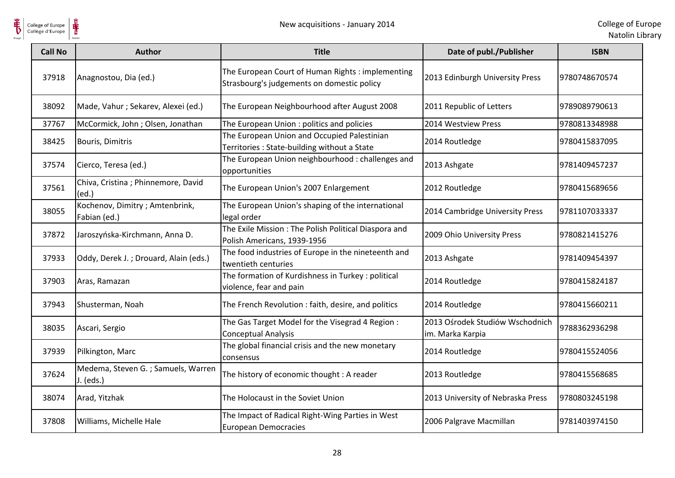

| <b>Call No</b> | <b>Author</b>                                   | <b>Title</b>                                                                                    | Date of publ./Publisher                             | <b>ISBN</b>   |
|----------------|-------------------------------------------------|-------------------------------------------------------------------------------------------------|-----------------------------------------------------|---------------|
| 37918          | Anagnostou, Dia (ed.)                           | The European Court of Human Rights : implementing<br>Strasbourg's judgements on domestic policy | 2013 Edinburgh University Press                     | 9780748670574 |
| 38092          | Made, Vahur ; Sekarev, Alexei (ed.)             | The European Neighbourhood after August 2008                                                    | 2011 Republic of Letters                            | 9789089790613 |
| 37767          | McCormick, John; Olsen, Jonathan                | The European Union : politics and policies                                                      | 2014 Westview Press                                 | 9780813348988 |
| 38425          | Bouris, Dimitris                                | The European Union and Occupied Palestinian<br>Territories: State-building without a State      | 2014 Routledge                                      | 9780415837095 |
| 37574          | Cierco, Teresa (ed.)                            | The European Union neighbourhood: challenges and<br>opportunities                               | 2013 Ashgate                                        | 9781409457237 |
| 37561          | Chiva, Cristina ; Phinnemore, David<br>(ed.)    | The European Union's 2007 Enlargement                                                           | 2012 Routledge                                      | 9780415689656 |
| 38055          | Kochenov, Dimitry; Amtenbrink,<br>Fabian (ed.)  | The European Union's shaping of the international<br>legal order                                | 2014 Cambridge University Press                     | 9781107033337 |
| 37872          | Jaroszyńska-Kirchmann, Anna D.                  | The Exile Mission: The Polish Political Diaspora and<br>Polish Americans, 1939-1956             | 2009 Ohio University Press                          | 9780821415276 |
| 37933          | Oddy, Derek J.; Drouard, Alain (eds.)           | The food industries of Europe in the nineteenth and<br>twentieth centuries                      | 2013 Ashgate                                        | 9781409454397 |
| 37903          | Aras, Ramazan                                   | The formation of Kurdishness in Turkey : political<br>violence, fear and pain                   | 2014 Routledge                                      | 9780415824187 |
| 37943          | Shusterman, Noah                                | The French Revolution: faith, desire, and politics                                              | 2014 Routledge                                      | 9780415660211 |
| 38035          | Ascari, Sergio                                  | The Gas Target Model for the Visegrad 4 Region:<br><b>Conceptual Analysis</b>                   | 2013 Ośrodek Studiów Wschodnich<br>im. Marka Karpia | 9788362936298 |
| 37939          | Pilkington, Marc                                | The global financial crisis and the new monetary<br>consensus                                   | 2014 Routledge                                      | 9780415524056 |
| 37624          | Medema, Steven G.; Samuels, Warren<br>J. (eds.) | The history of economic thought : A reader                                                      | 2013 Routledge                                      | 9780415568685 |
| 38074          | Arad, Yitzhak                                   | The Holocaust in the Soviet Union                                                               | 2013 University of Nebraska Press                   | 9780803245198 |
| 37808          | Williams, Michelle Hale                         | The Impact of Radical Right-Wing Parties in West<br><b>European Democracies</b>                 | 2006 Palgrave Macmillan                             | 9781403974150 |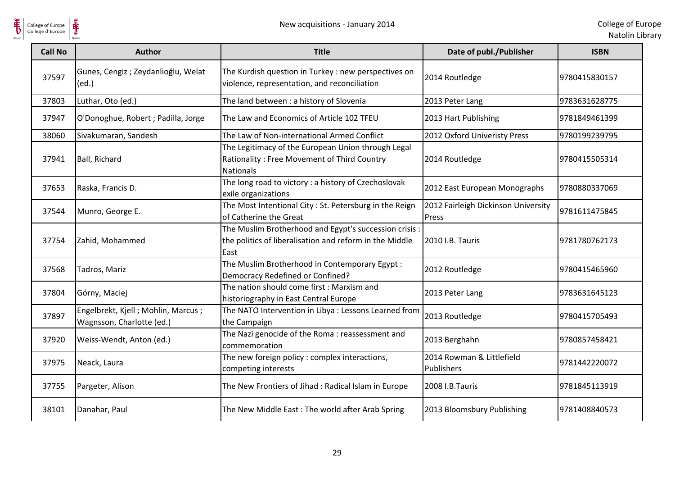

| <b>Call No</b> | <b>Author</b>                                                   | <b>Title</b>                                                                                                              | Date of publ./Publisher                      | <b>ISBN</b>   |
|----------------|-----------------------------------------------------------------|---------------------------------------------------------------------------------------------------------------------------|----------------------------------------------|---------------|
| 37597          | Gunes, Cengiz; Zeydanlioğlu, Welat<br>(ed.)                     | The Kurdish question in Turkey : new perspectives on<br>violence, representation, and reconciliation                      | 2014 Routledge                               | 9780415830157 |
| 37803          | Luthar, Oto (ed.)                                               | The land between : a history of Slovenia                                                                                  | 2013 Peter Lang                              | 9783631628775 |
| 37947          | O'Donoghue, Robert ; Padilla, Jorge                             | The Law and Economics of Article 102 TFEU                                                                                 | 2013 Hart Publishing                         | 9781849461399 |
| 38060          | Sivakumaran, Sandesh                                            | The Law of Non-international Armed Conflict                                                                               | 2012 Oxford Univeristy Press                 | 9780199239795 |
| 37941          | Ball, Richard                                                   | The Legitimacy of the European Union through Legal<br>Rationality: Free Movement of Third Country<br><b>Nationals</b>     | 2014 Routledge                               | 9780415505314 |
| 37653          | Raska, Francis D.                                               | The long road to victory : a history of Czechoslovak<br>exile organizations                                               | 2012 East European Monographs                | 9780880337069 |
| 37544          | Munro, George E.                                                | The Most Intentional City : St. Petersburg in the Reign<br>of Catherine the Great                                         | 2012 Fairleigh Dickinson University<br>Press | 9781611475845 |
| 37754          | Zahid, Mohammed                                                 | The Muslim Brotherhood and Egypt's succession crisis :<br>the politics of liberalisation and reform in the Middle<br>East | 2010 I.B. Tauris                             | 9781780762173 |
| 37568          | Tadros, Mariz                                                   | The Muslim Brotherhood in Contemporary Egypt:<br>Democracy Redefined or Confined?                                         | 2012 Routledge                               | 9780415465960 |
| 37804          | Górny, Maciej                                                   | The nation should come first: Marxism and<br>historiography in East Central Europe                                        | 2013 Peter Lang                              | 9783631645123 |
| 37897          | Engelbrekt, Kjell; Mohlin, Marcus;<br>Wagnsson, Charlotte (ed.) | The NATO Intervention in Libya : Lessons Learned from<br>the Campaign                                                     | 2013 Routledge                               | 9780415705493 |
| 37920          | Weiss-Wendt, Anton (ed.)                                        | The Nazi genocide of the Roma: reassessment and<br>commemoration                                                          | 2013 Berghahn                                | 9780857458421 |
| 37975          | Neack, Laura                                                    | The new foreign policy : complex interactions,<br>competing interests                                                     | 2014 Rowman & Littlefield<br>Publishers      | 9781442220072 |
| 37755          | Pargeter, Alison                                                | The New Frontiers of Jihad: Radical Islam in Europe                                                                       | 2008 I.B.Tauris                              | 9781845113919 |
| 38101          | Danahar, Paul                                                   | The New Middle East: The world after Arab Spring                                                                          | 2013 Bloomsbury Publishing                   | 9781408840573 |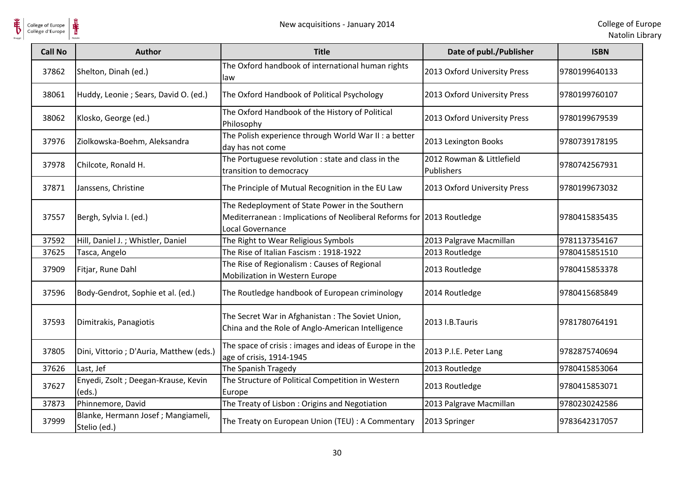

| <b>Call No</b> | <b>Author</b>                                      | <b>Title</b>                                                                                                                                | Date of publ./Publisher                 | <b>ISBN</b>   |
|----------------|----------------------------------------------------|---------------------------------------------------------------------------------------------------------------------------------------------|-----------------------------------------|---------------|
| 37862          | Shelton, Dinah (ed.)                               | The Oxford handbook of international human rights<br>law                                                                                    | 2013 Oxford University Press            | 9780199640133 |
| 38061          | Huddy, Leonie ; Sears, David O. (ed.)              | The Oxford Handbook of Political Psychology                                                                                                 | 2013 Oxford University Press            | 9780199760107 |
| 38062          | Klosko, George (ed.)                               | The Oxford Handbook of the History of Political<br>Philosophy                                                                               | 2013 Oxford University Press            | 9780199679539 |
| 37976          | Ziolkowska-Boehm, Aleksandra                       | The Polish experience through World War II : a better<br>day has not come                                                                   | 2013 Lexington Books                    | 9780739178195 |
| 37978          | Chilcote, Ronald H.                                | The Portuguese revolution : state and class in the<br>transition to democracy                                                               | 2012 Rowman & Littlefield<br>Publishers | 9780742567931 |
| 37871          | Janssens, Christine                                | The Principle of Mutual Recognition in the EU Law                                                                                           | 2013 Oxford University Press            | 9780199673032 |
| 37557          | Bergh, Sylvia I. (ed.)                             | The Redeployment of State Power in the Southern<br>Mediterranean: Implications of Neoliberal Reforms for 2013 Routledge<br>Local Governance |                                         | 9780415835435 |
| 37592          | Hill, Daniel J.; Whistler, Daniel                  | The Right to Wear Religious Symbols                                                                                                         | 2013 Palgrave Macmillan                 | 9781137354167 |
| 37625          | Tasca, Angelo                                      | The Rise of Italian Fascism: 1918-1922                                                                                                      | 2013 Routledge                          | 9780415851510 |
| 37909          | Fitjar, Rune Dahl                                  | The Rise of Regionalism: Causes of Regional<br>Mobilization in Western Europe                                                               | 2013 Routledge                          | 9780415853378 |
| 37596          | Body-Gendrot, Sophie et al. (ed.)                  | The Routledge handbook of European criminology                                                                                              | 2014 Routledge                          | 9780415685849 |
| 37593          | Dimitrakis, Panagiotis                             | The Secret War in Afghanistan: The Soviet Union,<br>China and the Role of Anglo-American Intelligence                                       | 2013 I.B.Tauris                         | 9781780764191 |
| 37805          | Dini, Vittorio ; D'Auria, Matthew (eds.)           | The space of crisis : images and ideas of Europe in the<br>age of crisis, 1914-1945                                                         | 2013 P.I.E. Peter Lang                  | 9782875740694 |
| 37626          | Last, Jef                                          | The Spanish Tragedy                                                                                                                         | 2013 Routledge                          | 9780415853064 |
| 37627          | Enyedi, Zsolt ; Deegan-Krause, Kevin<br>(eds.)     | The Structure of Political Competition in Western<br>Europe                                                                                 | 2013 Routledge                          | 9780415853071 |
| 37873          | Phinnemore, David                                  | The Treaty of Lisbon: Origins and Negotiation                                                                                               | 2013 Palgrave Macmillan                 | 9780230242586 |
| 37999          | Blanke, Hermann Josef; Mangiameli,<br>Stelio (ed.) | The Treaty on European Union (TEU) : A Commentary                                                                                           | 2013 Springer                           | 9783642317057 |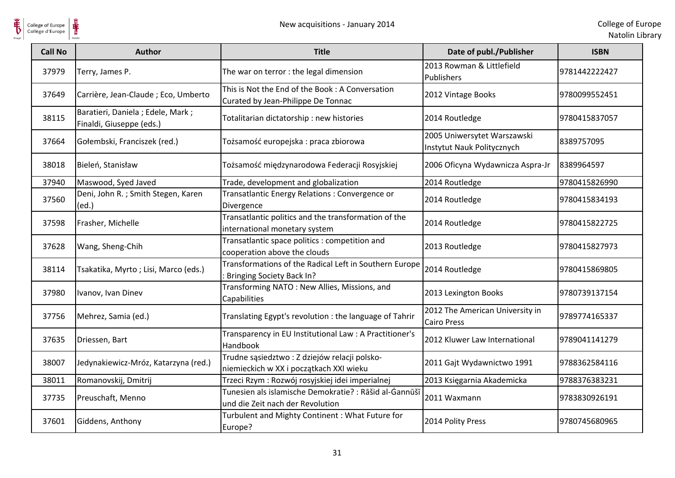

| <b>Call No</b> | <b>Author</b>                                                | <b>Title</b>                                                                               | Date of publ./Publisher                                   | <b>ISBN</b>   |
|----------------|--------------------------------------------------------------|--------------------------------------------------------------------------------------------|-----------------------------------------------------------|---------------|
| 37979          | Terry, James P.                                              | The war on terror : the legal dimension                                                    | 2013 Rowman & Littlefield<br>Publishers                   | 9781442222427 |
| 37649          | Carrière, Jean-Claude ; Eco, Umberto                         | This is Not the End of the Book: A Conversation<br>Curated by Jean-Philippe De Tonnac      | 2012 Vintage Books                                        | 9780099552451 |
| 38115          | Baratieri, Daniela; Edele, Mark;<br>Finaldi, Giuseppe (eds.) | Totalitarian dictatorship: new histories                                                   | 2014 Routledge                                            | 9780415837057 |
| 37664          | Gołembski, Franciszek (red.)                                 | Tożsamość europejska : praca zbiorowa                                                      | 2005 Uniwersytet Warszawski<br>Instytut Nauk Politycznych | 8389757095    |
| 38018          | Bieleń, Stanisław                                            | Tożsamość międzynarodowa Federacji Rosyjskiej                                              | 2006 Oficyna Wydawnicza Aspra-Jr                          | 8389964597    |
| 37940          | Maswood, Syed Javed                                          | Trade, development and globalization                                                       | 2014 Routledge                                            | 9780415826990 |
| 37560          | Deni, John R.; Smith Stegen, Karen<br>(ed.)                  | Transatlantic Energy Relations : Convergence or<br>Divergence                              | 2014 Routledge                                            | 9780415834193 |
| 37598          | Frasher, Michelle                                            | Transatlantic politics and the transformation of the<br>international monetary system      | 2014 Routledge                                            | 9780415822725 |
| 37628          | Wang, Sheng-Chih                                             | Transatlantic space politics : competition and<br>cooperation above the clouds             | 2013 Routledge                                            | 9780415827973 |
| 38114          | Tsakatika, Myrto; Lisi, Marco (eds.)                         | Transformations of the Radical Left in Southern Europe<br><b>Bringing Society Back In?</b> | 2014 Routledge                                            | 9780415869805 |
| 37980          | Ivanov, Ivan Dinev                                           | Transforming NATO: New Allies, Missions, and<br>Capabilities                               | 2013 Lexington Books                                      | 9780739137154 |
| 37756          | Mehrez, Samia (ed.)                                          | Translating Egypt's revolution : the language of Tahrir                                    | 2012 The American University in<br><b>Cairo Press</b>     | 9789774165337 |
| 37635          | Driessen, Bart                                               | Transparency in EU Institutional Law: A Practitioner's<br>Handbook                         | 2012 Kluwer Law International                             | 9789041141279 |
| 38007          | Jedynakiewicz-Mróz, Katarzyna (red.)                         | Trudne sąsiedztwo : Z dziejów relacji polsko-<br>niemieckich w XX i początkach XXI wieku   | 2011 Gajt Wydawnictwo 1991                                | 9788362584116 |
| 38011          | Romanovskij, Dmitrij                                         | Trzeci Rzym : Rozwój rosyjskiej idei imperialnej                                           | 2013 Księgarnia Akademicka                                | 9788376383231 |
| 37735          | Preuschaft, Menno                                            | Tunesien als islamische Demokratie? : Rāšid al-Ġannūšī<br>und die Zeit nach der Revolution | 2011 Waxmann                                              | 9783830926191 |
| 37601          | Giddens, Anthony                                             | Turbulent and Mighty Continent: What Future for<br>Europe?                                 | 2014 Polity Press                                         | 9780745680965 |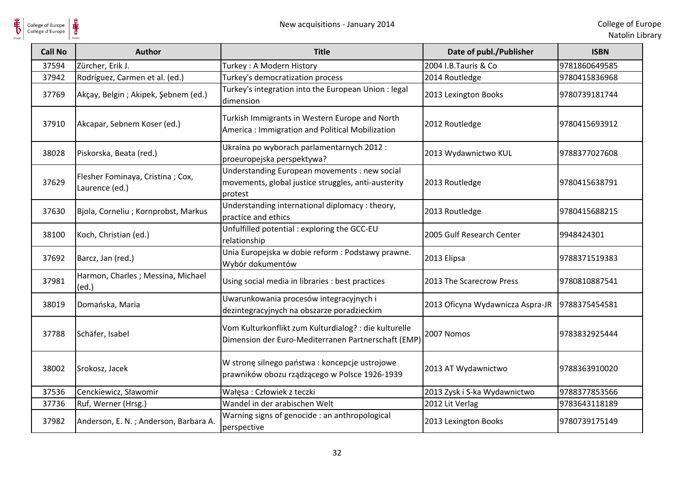

| <b>Call No</b> | <b>Author</b>                                      | <b>Title</b>                                                                                                    | Date of publ./Publisher                          | <b>ISBN</b>   |
|----------------|----------------------------------------------------|-----------------------------------------------------------------------------------------------------------------|--------------------------------------------------|---------------|
| 37594          | Zürcher, Erik J.                                   | Turkey: A Modern History                                                                                        | 2004 I.B.Tauris & Co                             | 9781860649585 |
| 37942          | Rodríguez, Carmen et al. (ed.)                     | Turkey's democratization process                                                                                | 2014 Routledge                                   | 9780415836968 |
| 37769          | Akçay, Belgin; Akipek, Şebnem (ed.)                | Turkey's integration into the European Union : legal<br>dimension                                               | 2013 Lexington Books                             | 9780739181744 |
| 37910          | Akcapar, Sebnem Koser (ed.)                        | Turkish Immigrants in Western Europe and North<br>America: Immigration and Political Mobilization               | 2012 Routledge                                   | 9780415693912 |
| 38028          | Piskorska, Beata (red.)                            | Ukraina po wyborach parlamentarnych 2012:<br>proeuropejska perspektywa?                                         | 2013 Wydawnictwo KUL                             | 9788377027608 |
| 37629          | Flesher Fominaya, Cristina; Cox,<br>Laurence (ed.) | Understanding European movements : new social<br>movements, global justice struggles, anti-austerity<br>protest | 2013 Routledge                                   | 9780415638791 |
| 37630          | Bjola, Corneliu; Kornprobst, Markus                | Understanding international diplomacy : theory,<br>practice and ethics                                          | 2013 Routledge                                   | 9780415688215 |
| 38100          | Koch, Christian (ed.)                              | Unfulfilled potential : exploring the GCC-EU<br>relationship                                                    | 2005 Gulf Research Center                        | 9948424301    |
| 37692          | Barcz, Jan (red.)                                  | Unia Europejska w dobie reform : Podstawy prawne.<br>Wybór dokumentów                                           | 2013 Elipsa                                      | 9788371519383 |
| 37981          | Harmon, Charles; Messina, Michael<br>(ed.)         | Using social media in libraries : best practices                                                                | 2013 The Scarecrow Press                         | 9780810887541 |
| 38019          | Domańska, Maria                                    | Uwarunkowania procesów integracyjnych i<br>dezintegracyjnych na obszarze poradzieckim                           | 2013 Oficyna Wydawnicza Aspra-JR   9788375454581 |               |
| 37788          | Schäfer, Isabel                                    | Vom Kulturkonflikt zum Kulturdialog? : die kulturelle<br>Dimension der Euro-Mediterranen Partnerschaft (EMP)    | 2007 Nomos                                       | 9783832925444 |
| 38002          | Srokosz, Jacek                                     | W stronę silnego państwa: koncepcje ustrojowe<br>prawników obozu rządzącego w Polsce 1926-1939                  | 2013 AT Wydawnictwo                              | 9788363910020 |
| 37536          | Cenckiewicz, Sławomir                              | Wałęsa: Człowiek z teczki                                                                                       | 2013 Zysk i S-ka Wydawnictwo                     | 9788377853566 |
| 37736          | Ruf, Werner (Hrsg.)                                | Wandel in der arabischen Welt                                                                                   | 2012 Lit Verlag                                  | 9783643118189 |
| 37982          | Anderson, E. N.; Anderson, Barbara A.              | Warning signs of genocide : an anthropological<br>perspective                                                   | 2013 Lexington Books                             | 9780739175149 |